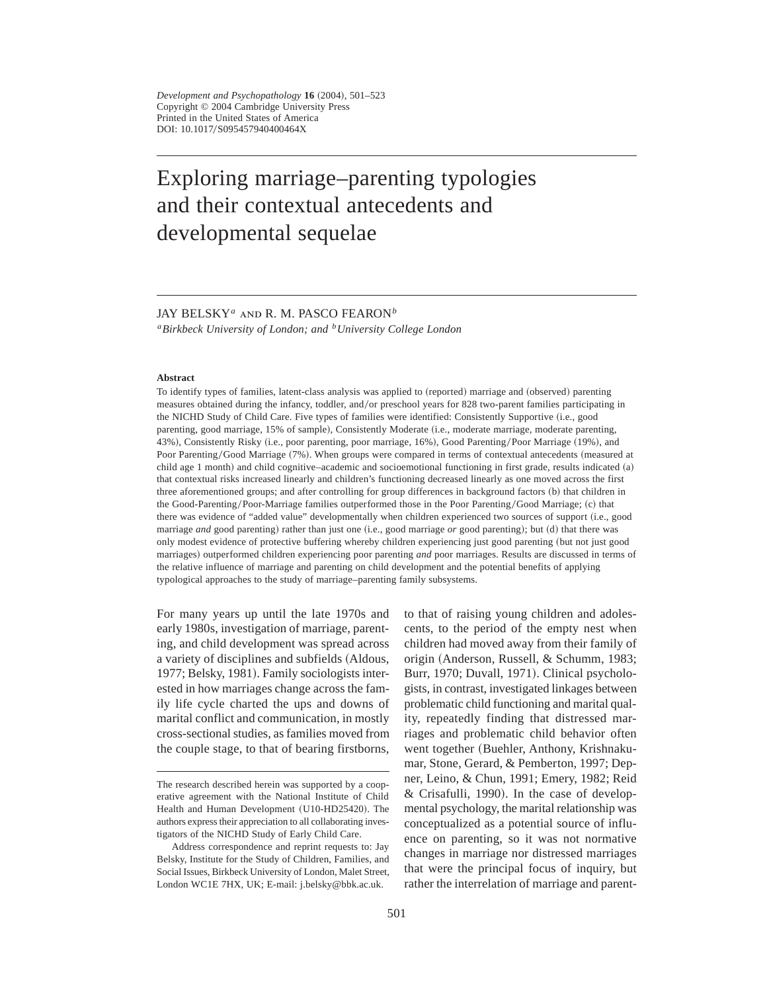# Exploring marriage–parenting typologies and their contextual antecedents and developmental sequelae

## JAY BELSKY*<sup>a</sup>* and R. M. PASCO FEARON*<sup>b</sup>*

*aBirkbeck University of London; and bUniversity College London*

#### **Abstract**

To identify types of families, latent-class analysis was applied to (reported) marriage and (observed) parenting measures obtained during the infancy, toddler, and/or preschool years for 828 two-parent families participating in the NICHD Study of Child Care. Five types of families were identified: Consistently Supportive (i.e., good parenting, good marriage, 15% of sample), Consistently Moderate (i.e., moderate marriage, moderate parenting, 43%), Consistently Risky (i.e., poor parenting, poor marriage, 16%), Good Parenting/Poor Marriage (19%), and Poor Parenting/Good Marriage (7%). When groups were compared in terms of contextual antecedents (measured at child age 1 month) and child cognitive–academic and socioemotional functioning in first grade, results indicated (a) that contextual risks increased linearly and children's functioning decreased linearly as one moved across the first three aforementioned groups; and after controlling for group differences in background factors (b) that children in the Good-Parenting/Poor-Marriage families outperformed those in the Poor Parenting/Good Marriage; (c) that there was evidence of "added value" developmentally when children experienced two sources of support (i.e., good marriage *and* good parenting) rather than just one (i.e., good marriage *or* good parenting); but (d) that there was only modest evidence of protective buffering whereby children experiencing just good parenting (but not just good marriages) outperformed children experiencing poor parenting *and* poor marriages. Results are discussed in terms of the relative influence of marriage and parenting on child development and the potential benefits of applying typological approaches to the study of marriage–parenting family subsystems.

For many years up until the late 1970s and early 1980s, investigation of marriage, parenting, and child development was spread across a variety of disciplines and subfields (Aldous, 1977; Belsky, 1981). Family sociologists interested in how marriages change across the family life cycle charted the ups and downs of marital conflict and communication, in mostly cross-sectional studies, as families moved from the couple stage, to that of bearing firstborns,

to that of raising young children and adolescents, to the period of the empty nest when children had moved away from their family of origin (Anderson, Russell, & Schumm, 1983; Burr, 1970; Duvall, 1971). Clinical psychologists, in contrast, investigated linkages between problematic child functioning and marital quality, repeatedly finding that distressed marriages and problematic child behavior often went together (Buehler, Anthony, Krishnakumar, Stone, Gerard, & Pemberton, 1997; Depner, Leino, & Chun, 1991; Emery, 1982; Reid  $& Crisafulli, 1990$ . In the case of developmental psychology, the marital relationship was conceptualized as a potential source of influence on parenting, so it was not normative changes in marriage nor distressed marriages that were the principal focus of inquiry, but rather the interrelation of marriage and parent-

The research described herein was supported by a cooperative agreement with the National Institute of Child Health and Human Development (U10-HD25420). The authors express their appreciation to all collaborating investigators of the NICHD Study of Early Child Care.

Address correspondence and reprint requests to: Jay Belsky, Institute for the Study of Children, Families, and Social Issues, Birkbeck University of London, Malet Street, London WC1E 7HX, UK; E-mail: j.belsky@bbk.ac.uk.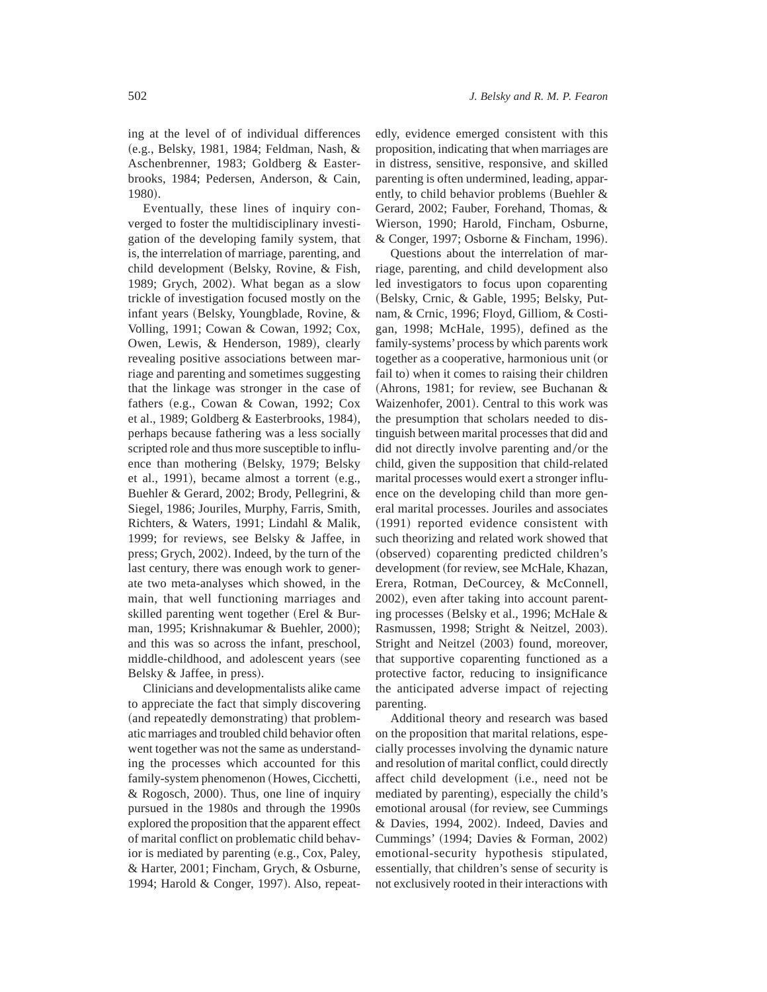ing at the level of of individual differences  $(e.g., Belsky, 1981, 1984; Feldman, Nash, &$ Aschenbrenner, 1983; Goldberg & Easterbrooks, 1984; Pedersen, Anderson, & Cain, 1980).

Eventually, these lines of inquiry converged to foster the multidisciplinary investigation of the developing family system, that is, the interrelation of marriage, parenting, and child development (Belsky, Rovine, & Fish, 1989; Grych, 2002). What began as a slow trickle of investigation focused mostly on the infant years (Belsky, Youngblade, Rovine, & Volling, 1991; Cowan & Cowan, 1992; Cox, Owen, Lewis, & Henderson, 1989), clearly revealing positive associations between marriage and parenting and sometimes suggesting that the linkage was stronger in the case of fathers (e.g., Cowan & Cowan, 1992; Cox et al., 1989; Goldberg & Easterbrooks, 1984), perhaps because fathering was a less socially scripted role and thus more susceptible to influence than mothering (Belsky, 1979; Belsky et al., 1991), became almost a torrent  $(e.g.,)$ Buehler & Gerard, 2002; Brody, Pellegrini, & Siegel, 1986; Jouriles, Murphy, Farris, Smith, Richters, & Waters, 1991; Lindahl & Malik, 1999; for reviews, see Belsky & Jaffee, in press; Grych, 2002). Indeed, by the turn of the last century, there was enough work to generate two meta-analyses which showed, in the main, that well functioning marriages and skilled parenting went together (Erel  $&$  Burman, 1995; Krishnakumar & Buehler, 2000); and this was so across the infant, preschool, middle-childhood, and adolescent years (see Belsky & Jaffee, in press).

Clinicians and developmentalists alike came to appreciate the fact that simply discovering (and repeatedly demonstrating) that problematic marriages and troubled child behavior often went together was not the same as understanding the processes which accounted for this family-system phenomenon (Howes, Cicchetti,  $& Rogosch, 2000$ . Thus, one line of inquiry pursued in the 1980s and through the 1990s explored the proposition that the apparent effect of marital conflict on problematic child behavior is mediated by parenting  $(e.g., Cox, Paley,$ & Harter, 2001; Fincham, Grych, & Osburne, 1994; Harold & Conger, 1997). Also, repeatedly, evidence emerged consistent with this proposition, indicating that when marriages are in distress, sensitive, responsive, and skilled parenting is often undermined, leading, apparently, to child behavior problems (Buehler  $&$ Gerard, 2002; Fauber, Forehand, Thomas, & Wierson, 1990; Harold, Fincham, Osburne, & Conger, 1997; Osborne & Fincham, 1996!.

Questions about the interrelation of marriage, parenting, and child development also led investigators to focus upon coparenting ~Belsky, Crnic, & Gable, 1995; Belsky, Putnam, & Crnic, 1996; Floyd, Gilliom, & Costigan, 1998; McHale, 1995), defined as the family-systems'process by which parents work together as a cooperative, harmonious unit (or fail to) when it comes to raising their children (Ahrons, 1981; for review, see Buchanan  $&$ Waizenhofer, 2001). Central to this work was the presumption that scholars needed to distinguish between marital processes that did and did not directly involve parenting and/or the child, given the supposition that child-related marital processes would exert a stronger influence on the developing child than more general marital processes. Jouriles and associates (1991) reported evidence consistent with such theorizing and related work showed that (observed) coparenting predicted children's development (for review, see McHale, Khazan, Erera, Rotman, DeCourcey, & McConnell, 2002), even after taking into account parenting processes (Belsky et al., 1996; McHale & Rasmussen, 1998; Stright & Neitzel, 2003). Stright and Neitzel (2003) found, moreover, that supportive coparenting functioned as a protective factor, reducing to insignificance the anticipated adverse impact of rejecting parenting.

Additional theory and research was based on the proposition that marital relations, especially processes involving the dynamic nature and resolution of marital conflict, could directly affect child development (i.e., need not be mediated by parenting), especially the child's emotional arousal (for review, see Cummings  $&$  Davies, 1994, 2002). Indeed, Davies and Cummings' (1994; Davies & Forman, 2002) emotional-security hypothesis stipulated, essentially, that children's sense of security is not exclusively rooted in their interactions with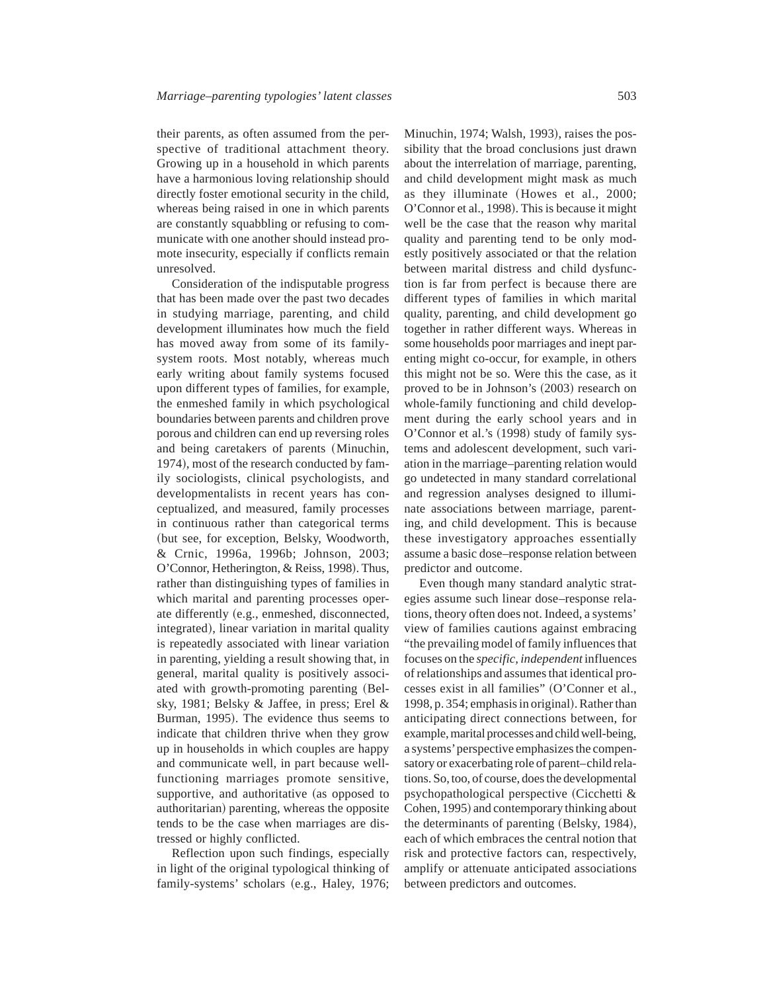their parents, as often assumed from the perspective of traditional attachment theory. Growing up in a household in which parents have a harmonious loving relationship should directly foster emotional security in the child, whereas being raised in one in which parents are constantly squabbling or refusing to communicate with one another should instead promote insecurity, especially if conflicts remain unresolved.

Consideration of the indisputable progress that has been made over the past two decades in studying marriage, parenting, and child development illuminates how much the field has moved away from some of its familysystem roots. Most notably, whereas much early writing about family systems focused upon different types of families, for example, the enmeshed family in which psychological boundaries between parents and children prove porous and children can end up reversing roles and being caretakers of parents (Minuchin, 1974), most of the research conducted by family sociologists, clinical psychologists, and developmentalists in recent years has conceptualized, and measured, family processes in continuous rather than categorical terms (but see, for exception, Belsky, Woodworth, & Crnic, 1996a, 1996b; Johnson, 2003; O'Connor, Hetherington, & Reiss, 1998). Thus, rather than distinguishing types of families in which marital and parenting processes operate differently (e.g., enmeshed, disconnected, integrated), linear variation in marital quality is repeatedly associated with linear variation in parenting, yielding a result showing that, in general, marital quality is positively associated with growth-promoting parenting (Belsky, 1981; Belsky & Jaffee, in press; Erel & Burman, 1995). The evidence thus seems to indicate that children thrive when they grow up in households in which couples are happy and communicate well, in part because wellfunctioning marriages promote sensitive, supportive, and authoritative (as opposed to authoritarian) parenting, whereas the opposite tends to be the case when marriages are distressed or highly conflicted.

Reflection upon such findings, especially in light of the original typological thinking of family-systems' scholars (e.g., Haley, 1976;

Minuchin, 1974; Walsh, 1993), raises the possibility that the broad conclusions just drawn about the interrelation of marriage, parenting, and child development might mask as much as they illuminate (Howes et al., 2000; O'Connor et al., 1998). This is because it might well be the case that the reason why marital quality and parenting tend to be only modestly positively associated or that the relation between marital distress and child dysfunction is far from perfect is because there are different types of families in which marital quality, parenting, and child development go together in rather different ways. Whereas in some households poor marriages and inept parenting might co-occur, for example, in others this might not be so. Were this the case, as it proved to be in Johnson's (2003) research on whole-family functioning and child development during the early school years and in O'Connor et al.'s (1998) study of family systems and adolescent development, such variation in the marriage–parenting relation would go undetected in many standard correlational and regression analyses designed to illuminate associations between marriage, parenting, and child development. This is because these investigatory approaches essentially assume a basic dose–response relation between predictor and outcome.

Even though many standard analytic strategies assume such linear dose–response relations, theory often does not. Indeed, a systems' view of families cautions against embracing "the prevailing model of family influences that focuses on the *specific, independent* influences of relationships and assumes that identical processes exist in all families" (O'Conner et al., 1998, p. 354; emphasis in original). Rather than anticipating direct connections between, for example, marital processes and child well-being, a systems'perspective emphasizes the compensatory or exacerbating role of parent–child relations. So, too, of course, does the developmental psychopathological perspective (Cicchetti & Cohen, 1995) and contemporary thinking about the determinants of parenting (Belsky, 1984), each of which embraces the central notion that risk and protective factors can, respectively, amplify or attenuate anticipated associations between predictors and outcomes.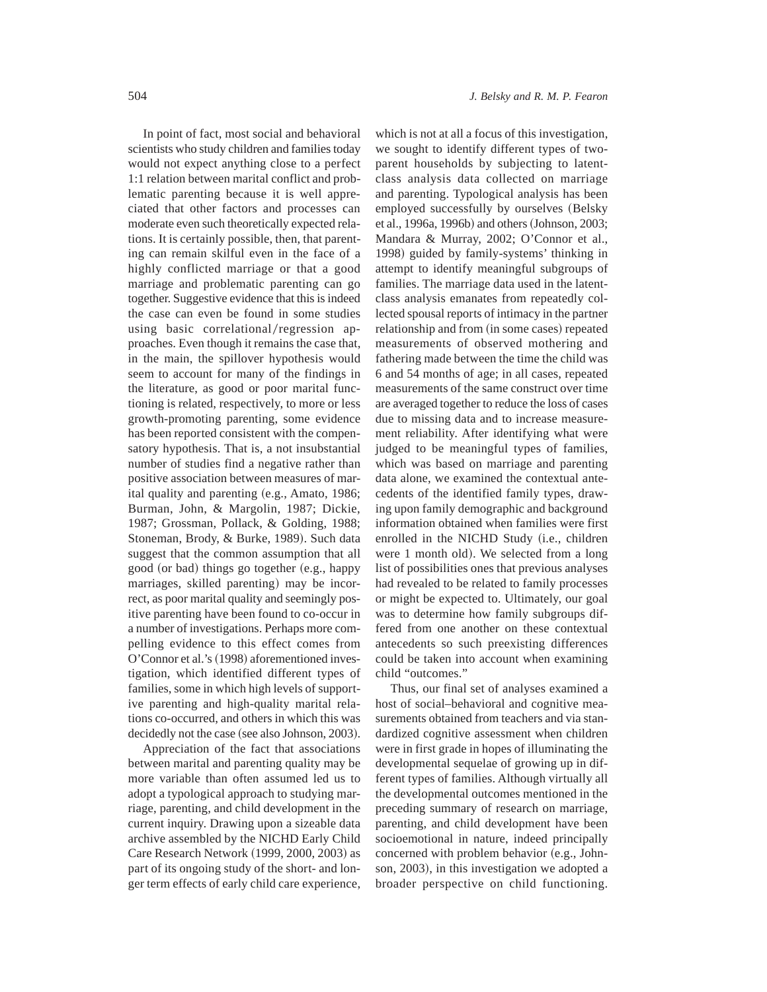In point of fact, most social and behavioral scientists who study children and families today would not expect anything close to a perfect 1:1 relation between marital conflict and problematic parenting because it is well appreciated that other factors and processes can moderate even such theoretically expected relations. It is certainly possible, then, that parenting can remain skilful even in the face of a highly conflicted marriage or that a good marriage and problematic parenting can go together. Suggestive evidence that this is indeed the case can even be found in some studies using basic correlational/regression approaches. Even though it remains the case that, in the main, the spillover hypothesis would seem to account for many of the findings in the literature, as good or poor marital functioning is related, respectively, to more or less growth-promoting parenting, some evidence has been reported consistent with the compensatory hypothesis. That is, a not insubstantial number of studies find a negative rather than positive association between measures of marital quality and parenting (e.g., Amato, 1986; Burman, John, & Margolin, 1987; Dickie, 1987; Grossman, Pollack, & Golding, 1988; Stoneman, Brody, & Burke, 1989). Such data suggest that the common assumption that all good (or bad) things go together (e.g., happy marriages, skilled parenting) may be incorrect, as poor marital quality and seemingly positive parenting have been found to co-occur in a number of investigations. Perhaps more compelling evidence to this effect comes from O'Connor et al.'s (1998) aforementioned investigation, which identified different types of families, some in which high levels of supportive parenting and high-quality marital relations co-occurred, and others in which this was decidedly not the case (see also Johnson, 2003).

Appreciation of the fact that associations between marital and parenting quality may be more variable than often assumed led us to adopt a typological approach to studying marriage, parenting, and child development in the current inquiry. Drawing upon a sizeable data archive assembled by the NICHD Early Child Care Research Network  $(1999, 2000, 2003)$  as part of its ongoing study of the short- and longer term effects of early child care experience,

which is not at all a focus of this investigation, we sought to identify different types of twoparent households by subjecting to latentclass analysis data collected on marriage and parenting. Typological analysis has been employed successfully by ourselves (Belsky et al., 1996a, 1996b) and others (Johnson, 2003; Mandara & Murray, 2002; O'Connor et al., 1998) guided by family-systems' thinking in attempt to identify meaningful subgroups of families. The marriage data used in the latentclass analysis emanates from repeatedly collected spousal reports of intimacy in the partner relationship and from (in some cases) repeated measurements of observed mothering and fathering made between the time the child was 6 and 54 months of age; in all cases, repeated measurements of the same construct over time are averaged together to reduce the loss of cases due to missing data and to increase measurement reliability. After identifying what were judged to be meaningful types of families, which was based on marriage and parenting data alone, we examined the contextual antecedents of the identified family types, drawing upon family demographic and background information obtained when families were first enrolled in the NICHD Study (i.e., children were 1 month old). We selected from a long list of possibilities ones that previous analyses had revealed to be related to family processes or might be expected to. Ultimately, our goal was to determine how family subgroups differed from one another on these contextual antecedents so such preexisting differences could be taken into account when examining child "outcomes."

Thus, our final set of analyses examined a host of social–behavioral and cognitive measurements obtained from teachers and via standardized cognitive assessment when children were in first grade in hopes of illuminating the developmental sequelae of growing up in different types of families. Although virtually all the developmental outcomes mentioned in the preceding summary of research on marriage, parenting, and child development have been socioemotional in nature, indeed principally concerned with problem behavior  $(e.g., John$ son, 2003), in this investigation we adopted a broader perspective on child functioning.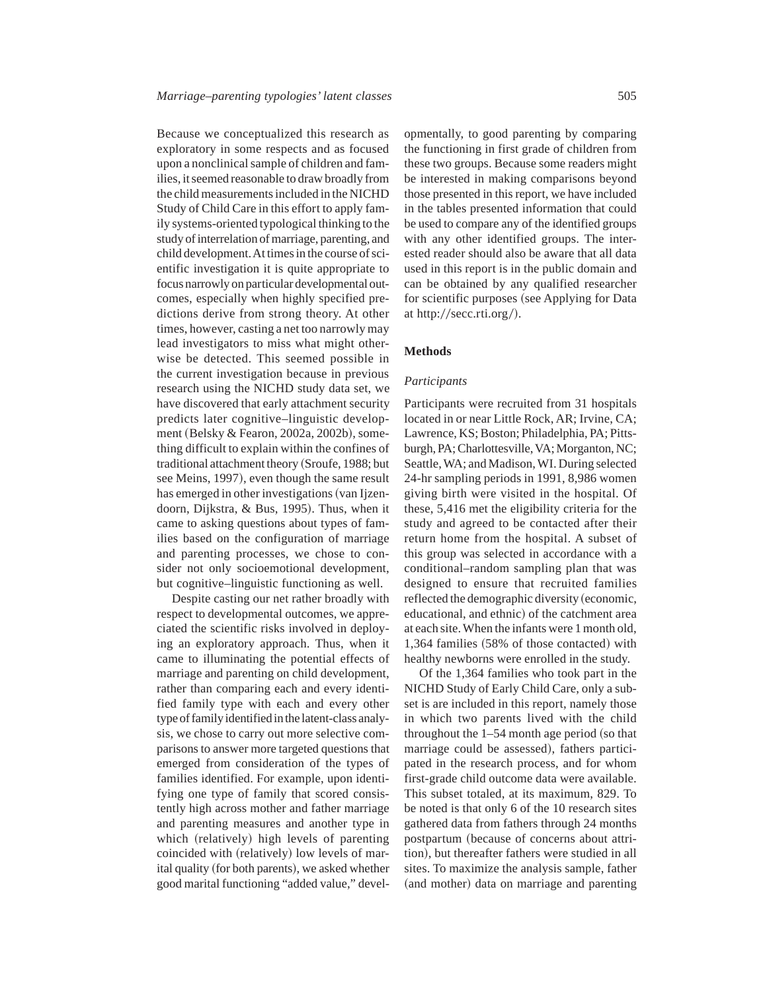Because we conceptualized this research as exploratory in some respects and as focused upon a nonclinical sample of children and families, it seemed reasonable to draw broadly from the child measurements included in the NICHD Study of Child Care in this effort to apply family systems-oriented typological thinking to the study of interrelation of marriage, parenting, and child development.At times in the course of scientific investigation it is quite appropriate to focus narrowly on particular developmental outcomes, especially when highly specified predictions derive from strong theory. At other times, however, casting a net too narrowly may lead investigators to miss what might otherwise be detected. This seemed possible in the current investigation because in previous research using the NICHD study data set, we have discovered that early attachment security predicts later cognitive–linguistic development (Belsky & Fearon, 2002a, 2002b), something difficult to explain within the confines of traditional attachment theory (Sroufe, 1988; but see Meins, 1997), even though the same result has emerged in other investigations (van Ijzendoorn, Dijkstra, & Bus, 1995). Thus, when it came to asking questions about types of families based on the configuration of marriage and parenting processes, we chose to consider not only socioemotional development, but cognitive–linguistic functioning as well.

Despite casting our net rather broadly with respect to developmental outcomes, we appreciated the scientific risks involved in deploying an exploratory approach. Thus, when it came to illuminating the potential effects of marriage and parenting on child development, rather than comparing each and every identified family type with each and every other type of family identified in the latent-class analysis, we chose to carry out more selective comparisons to answer more targeted questions that emerged from consideration of the types of families identified. For example, upon identifying one type of family that scored consistently high across mother and father marriage and parenting measures and another type in which (relatively) high levels of parenting coincided with (relatively) low levels of marital quality (for both parents), we asked whether good marital functioning "added value," devel-

opmentally, to good parenting by comparing the functioning in first grade of children from these two groups. Because some readers might be interested in making comparisons beyond those presented in this report, we have included in the tables presented information that could be used to compare any of the identified groups with any other identified groups. The interested reader should also be aware that all data used in this report is in the public domain and can be obtained by any qualified researcher for scientific purposes (see Applying for Data at http://secc.rti.org/.

## **Methods**

#### *Participants*

Participants were recruited from 31 hospitals located in or near Little Rock, AR; Irvine, CA; Lawrence, KS; Boston; Philadelphia, PA; Pittsburgh, PA; Charlottesville, VA; Morganton, NC; Seattle, WA; and Madison, WI. During selected 24-hr sampling periods in 1991, 8,986 women giving birth were visited in the hospital. Of these, 5,416 met the eligibility criteria for the study and agreed to be contacted after their return home from the hospital. A subset of this group was selected in accordance with a conditional–random sampling plan that was designed to ensure that recruited families reflected the demographic diversity (economic, educational, and ethnic) of the catchment area at each site. When the infants were 1 month old,  $1,364$  families  $(58\% \text{ of those contracted})$  with healthy newborns were enrolled in the study.

Of the 1,364 families who took part in the NICHD Study of Early Child Care, only a subset is are included in this report, namely those in which two parents lived with the child throughout the  $1-54$  month age period (so that marriage could be assessed), fathers participated in the research process, and for whom first-grade child outcome data were available. This subset totaled, at its maximum, 829. To be noted is that only 6 of the 10 research sites gathered data from fathers through 24 months postpartum (because of concerns about attrition), but thereafter fathers were studied in all sites. To maximize the analysis sample, father (and mother) data on marriage and parenting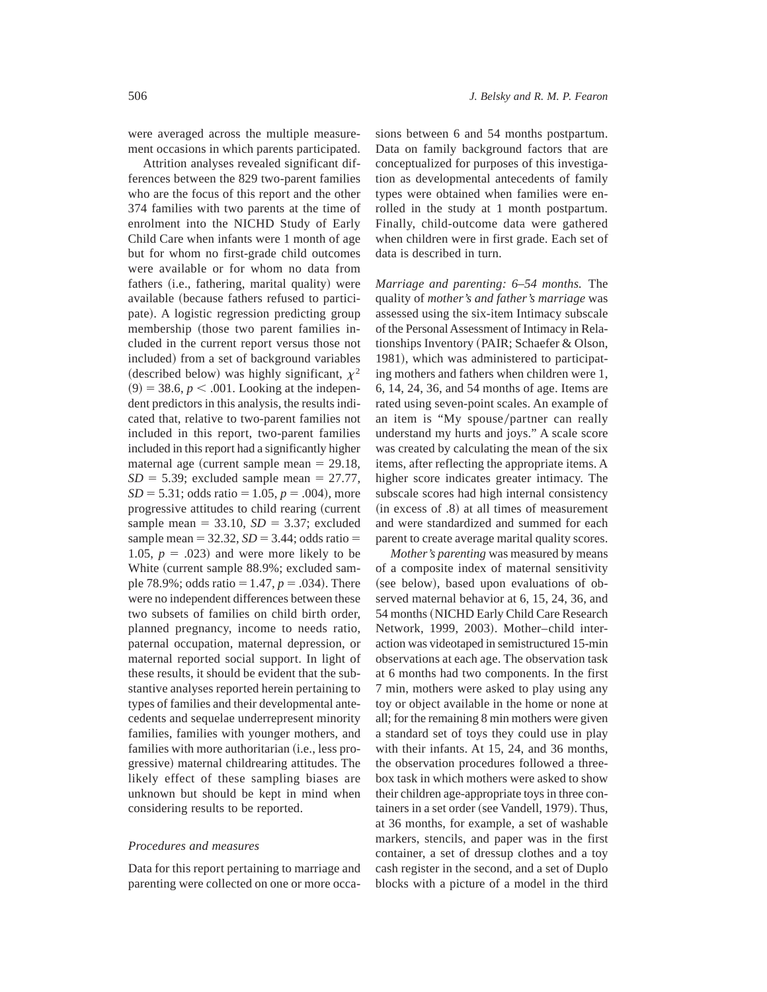were averaged across the multiple measurement occasions in which parents participated.

Attrition analyses revealed significant differences between the 829 two-parent families who are the focus of this report and the other 374 families with two parents at the time of enrolment into the NICHD Study of Early Child Care when infants were 1 month of age but for whom no first-grade child outcomes were available or for whom no data from fathers (i.e., fathering, marital quality) were available (because fathers refused to participate). A logistic regression predicting group membership (those two parent families included in the current report versus those not included) from a set of background variables (described below) was highly significant,  $\chi^2$  $(9) = 38.6, p < .001$ . Looking at the independent predictors in this analysis, the results indicated that, relative to two-parent families not included in this report, two-parent families included in this report had a significantly higher maternal age (current sample mean  $= 29.18$ ,  $SD = 5.39$ ; excluded sample mean = 27.77,  $SD = 5.31$ ; odds ratio = 1.05, *p* = .004), more progressive attitudes to child rearing (current sample mean =  $33.10$ ,  $SD = 3.37$ ; excluded sample mean =  $32.32$ ,  $SD = 3.44$ ; odds ratio = 1.05,  $p = .023$ ) and were more likely to be White (current sample 88.9%; excluded sample 78.9%; odds ratio = 1.47,  $p = .034$ ). There were no independent differences between these two subsets of families on child birth order, planned pregnancy, income to needs ratio, paternal occupation, maternal depression, or maternal reported social support. In light of these results, it should be evident that the substantive analyses reported herein pertaining to types of families and their developmental antecedents and sequelae underrepresent minority families, families with younger mothers, and families with more authoritarian (i.e., less progressive) maternal childrearing attitudes. The likely effect of these sampling biases are unknown but should be kept in mind when considering results to be reported.

## *Procedures and measures*

Data for this report pertaining to marriage and parenting were collected on one or more occasions between 6 and 54 months postpartum. Data on family background factors that are conceptualized for purposes of this investigation as developmental antecedents of family types were obtained when families were enrolled in the study at 1 month postpartum. Finally, child-outcome data were gathered when children were in first grade. Each set of data is described in turn.

*Marriage and parenting: 6–54 months.* The quality of *mother's and father's marriage* was assessed using the six-item Intimacy subscale of the Personal Assessment of Intimacy in Relationships Inventory (PAIR; Schaefer & Olson, 1981), which was administered to participating mothers and fathers when children were 1, 6, 14, 24, 36, and 54 months of age. Items are rated using seven-point scales. An example of an item is "My spouse/partner can really understand my hurts and joys." A scale score was created by calculating the mean of the six items, after reflecting the appropriate items. A higher score indicates greater intimacy. The subscale scores had high internal consistency  $(in excess of .8)$  at all times of measurement and were standardized and summed for each parent to create average marital quality scores.

*Mother's parenting* was measured by means of a composite index of maternal sensitivity (see below), based upon evaluations of observed maternal behavior at 6, 15, 24, 36, and 54 months (NICHD Early Child Care Research Network, 1999, 2003). Mother-child interaction was videotaped in semistructured 15-min observations at each age. The observation task at 6 months had two components. In the first 7 min, mothers were asked to play using any toy or object available in the home or none at all; for the remaining 8 min mothers were given a standard set of toys they could use in play with their infants. At 15, 24, and 36 months, the observation procedures followed a threebox task in which mothers were asked to show their children age-appropriate toys in three containers in a set order (see Vandell, 1979). Thus, at 36 months, for example, a set of washable markers, stencils, and paper was in the first container, a set of dressup clothes and a toy cash register in the second, and a set of Duplo blocks with a picture of a model in the third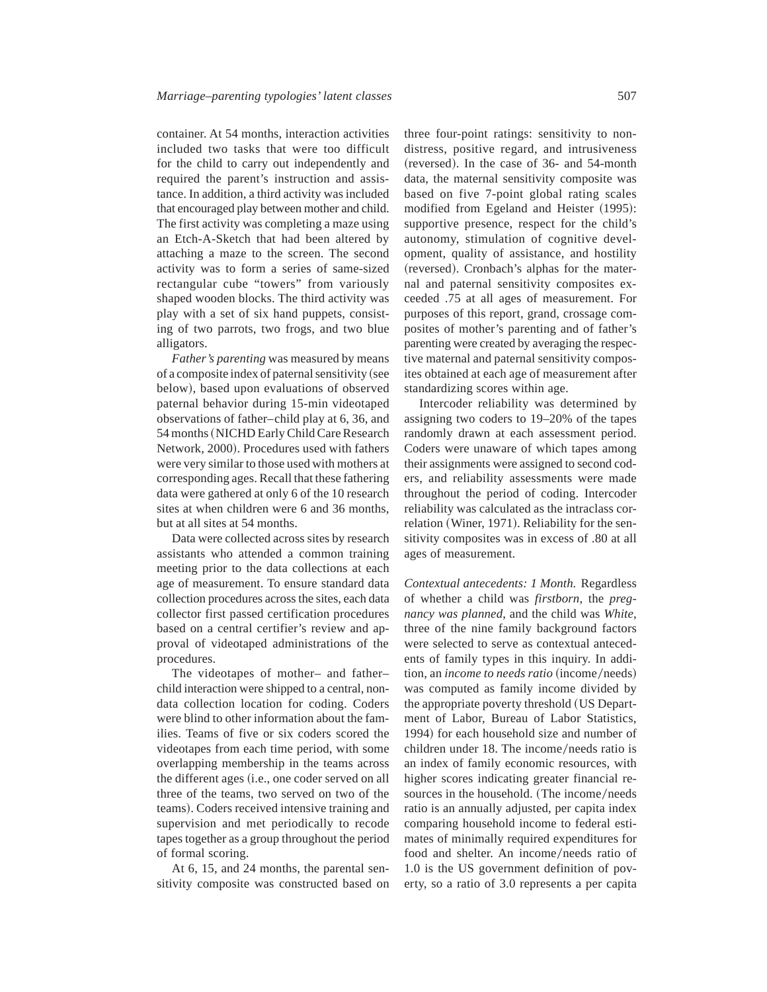container. At 54 months, interaction activities included two tasks that were too difficult for the child to carry out independently and required the parent's instruction and assistance. In addition, a third activity was included that encouraged play between mother and child. The first activity was completing a maze using an Etch-A-Sketch that had been altered by attaching a maze to the screen. The second activity was to form a series of same-sized rectangular cube "towers" from variously shaped wooden blocks. The third activity was play with a set of six hand puppets, consisting of two parrots, two frogs, and two blue alligators.

*Father's parenting* was measured by means of a composite index of paternal sensitivity (see below), based upon evaluations of observed paternal behavior during 15-min videotaped observations of father–child play at 6, 36, and 54 months (NICHD Early Child Care Research Network, 2000). Procedures used with fathers were very similar to those used with mothers at corresponding ages. Recall that these fathering data were gathered at only 6 of the 10 research sites at when children were 6 and 36 months, but at all sites at 54 months.

Data were collected across sites by research assistants who attended a common training meeting prior to the data collections at each age of measurement. To ensure standard data collection procedures across the sites, each data collector first passed certification procedures based on a central certifier's review and approval of videotaped administrations of the procedures.

The videotapes of mother– and father– child interaction were shipped to a central, nondata collection location for coding. Coders were blind to other information about the families. Teams of five or six coders scored the videotapes from each time period, with some overlapping membership in the teams across the different ages (i.e., one coder served on all three of the teams, two served on two of the teams). Coders received intensive training and supervision and met periodically to recode tapes together as a group throughout the period of formal scoring.

At 6, 15, and 24 months, the parental sensitivity composite was constructed based on

three four-point ratings: sensitivity to nondistress, positive regard, and intrusiveness (reversed). In the case of 36- and 54-month data, the maternal sensitivity composite was based on five 7-point global rating scales modified from Egeland and Heister (1995): supportive presence, respect for the child's autonomy, stimulation of cognitive development, quality of assistance, and hostility (reversed). Cronbach's alphas for the maternal and paternal sensitivity composites exceeded .75 at all ages of measurement. For purposes of this report, grand, crossage composites of mother's parenting and of father's parenting were created by averaging the respective maternal and paternal sensitivity composites obtained at each age of measurement after standardizing scores within age.

Intercoder reliability was determined by assigning two coders to 19–20% of the tapes randomly drawn at each assessment period. Coders were unaware of which tapes among their assignments were assigned to second coders, and reliability assessments were made throughout the period of coding. Intercoder reliability was calculated as the intraclass correlation (Winer, 1971). Reliability for the sensitivity composites was in excess of .80 at all ages of measurement.

*Contextual antecedents: 1 Month.* Regardless of whether a child was *firstborn*, the *pregnancy was planned*, and the child was *White*, three of the nine family background factors were selected to serve as contextual antecedents of family types in this inquiry. In addition, an *income to needs ratio* (income/needs) was computed as family income divided by the appropriate poverty threshold (US Department of Labor, Bureau of Labor Statistics, 1994) for each household size and number of children under 18. The income/needs ratio is an index of family economic resources, with higher scores indicating greater financial resources in the household. (The income/needs ratio is an annually adjusted, per capita index comparing household income to federal estimates of minimally required expenditures for food and shelter. An income/needs ratio of 1.0 is the US government definition of poverty, so a ratio of 3.0 represents a per capita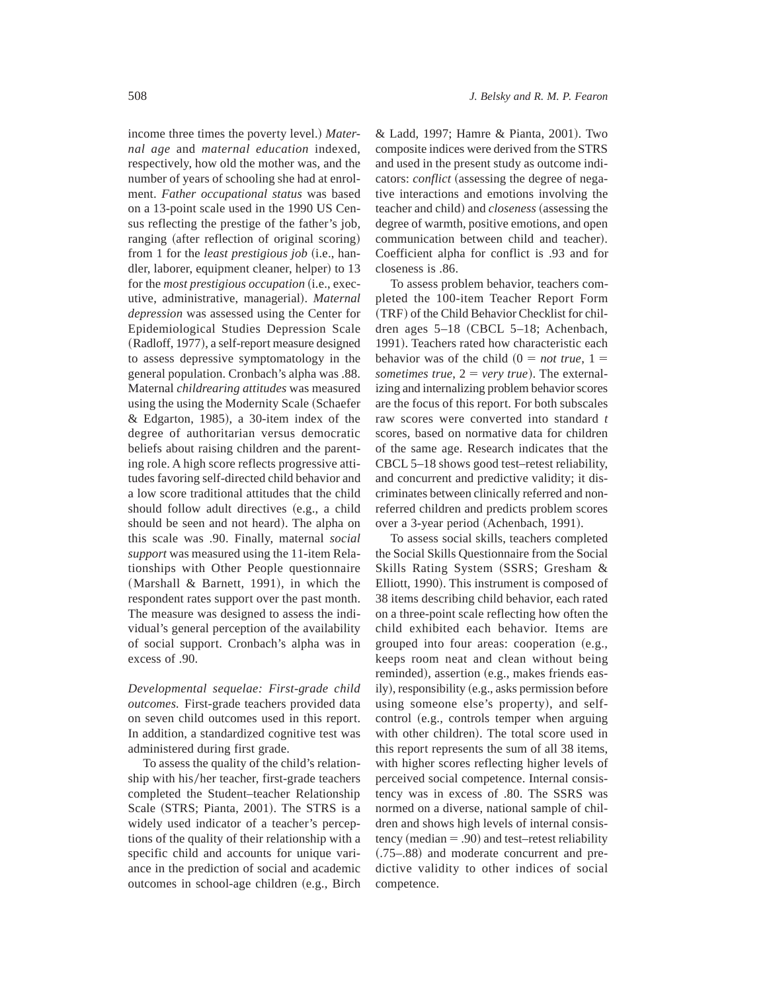508 *J. Belsky and R. M. P. Fearon*

income three times the poverty level.) *Maternal age* and *maternal education* indexed, respectively, how old the mother was, and the number of years of schooling she had at enrolment. *Father occupational status* was based on a 13-point scale used in the 1990 US Census reflecting the prestige of the father's job, ranging (after reflection of original scoring) from 1 for the *least prestigious job* (i.e., handler, laborer, equipment cleaner, helper) to 13 for the *most prestigious occupation* (i.e., executive, administrative, managerial). Maternal *depression* was assessed using the Center for Epidemiological Studies Depression Scale (Radloff, 1977), a self-report measure designed to assess depressive symptomatology in the general population. Cronbach's alpha was .88. Maternal *childrearing attitudes* was measured using the using the Modernity Scale (Schaefer  $&$  Edgarton, 1985), a 30-item index of the degree of authoritarian versus democratic beliefs about raising children and the parenting role. A high score reflects progressive attitudes favoring self-directed child behavior and a low score traditional attitudes that the child should follow adult directives (e.g., a child should be seen and not heard). The alpha on this scale was .90. Finally, maternal *social support* was measured using the 11-item Relationships with Other People questionnaire (Marshall & Barnett, 1991), in which the respondent rates support over the past month. The measure was designed to assess the individual's general perception of the availability of social support. Cronbach's alpha was in excess of .90.

*Developmental sequelae: First-grade child outcomes.* First-grade teachers provided data on seven child outcomes used in this report. In addition, a standardized cognitive test was administered during first grade.

To assess the quality of the child's relationship with his/her teacher, first-grade teachers completed the Student–teacher Relationship Scale (STRS; Pianta, 2001). The STRS is a widely used indicator of a teacher's perceptions of the quality of their relationship with a specific child and accounts for unique variance in the prediction of social and academic outcomes in school-age children (e.g., Birch

& Ladd, 1997; Hamre & Pianta, 2001). Two composite indices were derived from the STRS and used in the present study as outcome indicators: *conflict* (assessing the degree of negative interactions and emotions involving the teacher and child) and *closeness* (assessing the degree of warmth, positive emotions, and open communication between child and teacher). Coefficient alpha for conflict is .93 and for closeness is .86.

To assess problem behavior, teachers completed the 100-item Teacher Report Form (TRF) of the Child Behavior Checklist for children ages  $5-18$  (CBCL  $5-18$ ; Achenbach, 1991). Teachers rated how characteristic each behavior was of the child  $(0 = not true, 1 =$ *sometimes true*,  $2 = \text{very true}$ . The externalizing and internalizing problem behavior scores are the focus of this report. For both subscales raw scores were converted into standard *t* scores, based on normative data for children of the same age. Research indicates that the CBCL 5–18 shows good test–retest reliability, and concurrent and predictive validity; it discriminates between clinically referred and nonreferred children and predicts problem scores over a 3-year period (Achenbach, 1991).

To assess social skills, teachers completed the Social Skills Questionnaire from the Social Skills Rating System (SSRS; Gresham & Elliott, 1990). This instrument is composed of 38 items describing child behavior, each rated on a three-point scale reflecting how often the child exhibited each behavior. Items are grouped into four areas: cooperation (e.g., keeps room neat and clean without being reminded), assertion (e.g., makes friends easily), responsibility (e.g., asks permission before using someone else's property), and selfcontrol (e.g., controls temper when arguing with other children). The total score used in this report represents the sum of all 38 items, with higher scores reflecting higher levels of perceived social competence. Internal consistency was in excess of .80. The SSRS was normed on a diverse, national sample of children and shows high levels of internal consis- $\text{tency}$  (median = .90) and test–retest reliability ~.75–.88! and moderate concurrent and predictive validity to other indices of social competence.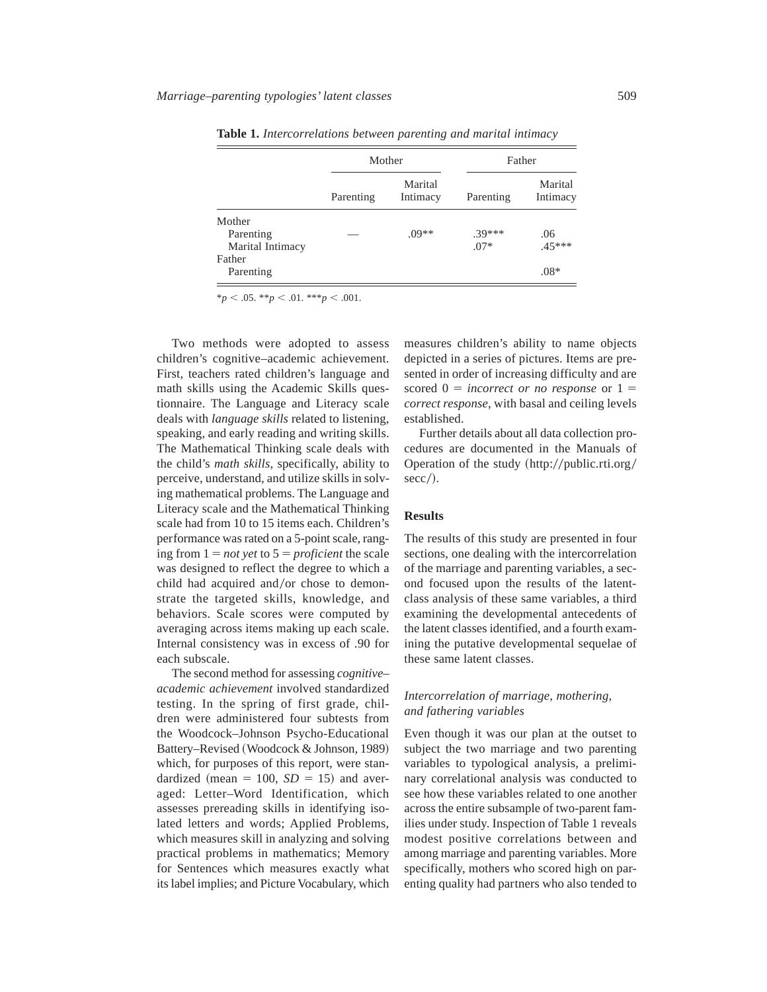|                  | Mother    |                     | Father    |                     |
|------------------|-----------|---------------------|-----------|---------------------|
|                  | Parenting | Marital<br>Intimacy | Parenting | Marital<br>Intimacy |
| Mother           |           |                     |           |                     |
| Parenting        |           | $.09**$             | $39***$   | .06                 |
| Marital Intimacy |           |                     | $.07*$    | .45***              |
| Father           |           |                     |           |                     |
| Parenting        |           |                     |           | $.08*$              |

**Table 1.** *Intercorrelations between parenting and marital intimacy*

 $*_{p}$  < .05.  $*_{p}$  < .01.  $*_{p}$  < .001.

Two methods were adopted to assess children's cognitive–academic achievement. First, teachers rated children's language and math skills using the Academic Skills questionnaire. The Language and Literacy scale deals with *language skills* related to listening, speaking, and early reading and writing skills. The Mathematical Thinking scale deals with the child's *math skills*, specifically, ability to perceive, understand, and utilize skills in solving mathematical problems. The Language and Literacy scale and the Mathematical Thinking scale had from 10 to 15 items each. Children's performance was rated on a 5-point scale, ranging from  $1 = not$  *yet* to  $5 =$  *proficient* the scale was designed to reflect the degree to which a child had acquired and/or chose to demonstrate the targeted skills, knowledge, and behaviors. Scale scores were computed by averaging across items making up each scale. Internal consistency was in excess of .90 for each subscale.

The second method for assessing *cognitive– academic achievement* involved standardized testing. In the spring of first grade, children were administered four subtests from the Woodcock–Johnson Psycho-Educational Battery–Revised (Woodcock & Johnson, 1989) which, for purposes of this report, were standardized (mean  $= 100$ ,  $SD = 15$ ) and averaged: Letter–Word Identification, which assesses prereading skills in identifying isolated letters and words; Applied Problems, which measures skill in analyzing and solving practical problems in mathematics; Memory for Sentences which measures exactly what its label implies; and Picture Vocabulary, which

measures children's ability to name objects depicted in a series of pictures. Items are presented in order of increasing difficulty and are scored  $0 = incorrect$  *or no response* or  $1 =$ *correct response*, with basal and ceiling levels established.

Further details about all data collection procedures are documented in the Manuals of Operation of the study  $(http://public.rti.org/$  $sec<sub>2</sub>$ ).

## **Results**

The results of this study are presented in four sections, one dealing with the intercorrelation of the marriage and parenting variables, a second focused upon the results of the latentclass analysis of these same variables, a third examining the developmental antecedents of the latent classes identified, and a fourth examining the putative developmental sequelae of these same latent classes.

# *Intercorrelation of marriage, mothering, and fathering variables*

Even though it was our plan at the outset to subject the two marriage and two parenting variables to typological analysis, a preliminary correlational analysis was conducted to see how these variables related to one another across the entire subsample of two-parent families under study. Inspection of Table 1 reveals modest positive correlations between and among marriage and parenting variables. More specifically, mothers who scored high on parenting quality had partners who also tended to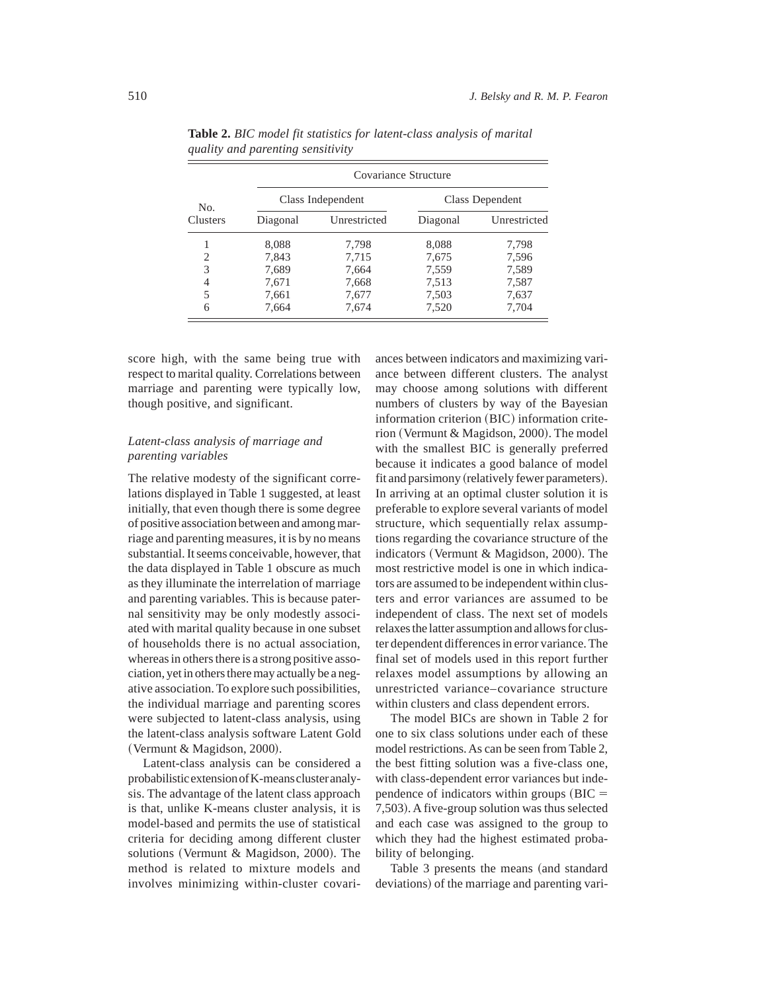| N <sub>0</sub><br><b>Clusters</b> |          | Covariance Structure |          |                 |  |  |
|-----------------------------------|----------|----------------------|----------|-----------------|--|--|
|                                   |          | Class Independent    |          | Class Dependent |  |  |
|                                   | Diagonal | Unrestricted         | Diagonal | Unrestricted    |  |  |
|                                   | 8,088    | 7,798                | 8,088    | 7,798           |  |  |
| 2                                 | 7,843    | 7,715                | 7,675    | 7,596           |  |  |
| 3                                 | 7,689    | 7,664                | 7,559    | 7,589           |  |  |
| 4                                 | 7,671    | 7,668                | 7,513    | 7,587           |  |  |
| 5                                 | 7,661    | 7,677                | 7,503    | 7,637           |  |  |
| 6                                 | 7,664    | 7,674                | 7,520    | 7,704           |  |  |

**Table 2.** *BIC model fit statistics for latent-class analysis of marital quality and parenting sensitivity*

score high, with the same being true with respect to marital quality. Correlations between marriage and parenting were typically low, though positive, and significant.

# *Latent-class analysis of marriage and parenting variables*

The relative modesty of the significant correlations displayed in Table 1 suggested, at least initially, that even though there is some degree of positive association between and among marriage and parenting measures, it is by no means substantial. It seems conceivable, however, that the data displayed in Table 1 obscure as much as they illuminate the interrelation of marriage and parenting variables. This is because paternal sensitivity may be only modestly associated with marital quality because in one subset of households there is no actual association, whereas in others there is a strong positive association, yet in others there may actually be a negative association. To explore such possibilities, the individual marriage and parenting scores were subjected to latent-class analysis, using the latent-class analysis software Latent Gold (Vermunt & Magidson, 2000).

Latent-class analysis can be considered a probabilisticextensionofK-meansclusteranalysis. The advantage of the latent class approach is that, unlike K-means cluster analysis, it is model-based and permits the use of statistical criteria for deciding among different cluster solutions (Vermunt & Magidson, 2000). The method is related to mixture models and involves minimizing within-cluster covariances between indicators and maximizing variance between different clusters. The analyst may choose among solutions with different numbers of clusters by way of the Bayesian information criterion (BIC) information criterion (Vermunt & Magidson, 2000). The model with the smallest BIC is generally preferred because it indicates a good balance of model fit and parsimony (relatively fewer parameters). In arriving at an optimal cluster solution it is preferable to explore several variants of model structure, which sequentially relax assumptions regarding the covariance structure of the indicators (Vermunt & Magidson, 2000). The most restrictive model is one in which indicators are assumed to be independent within clusters and error variances are assumed to be independent of class. The next set of models relaxes the latter assumption and allows for cluster dependent differences in error variance. The final set of models used in this report further relaxes model assumptions by allowing an unrestricted variance–covariance structure within clusters and class dependent errors.

The model BICs are shown in Table 2 for one to six class solutions under each of these model restrictions. As can be seen from Table 2, the best fitting solution was a five-class one, with class-dependent error variances but independence of indicators within groups  $(BIC =$ 7,503). A five-group solution was thus selected and each case was assigned to the group to which they had the highest estimated probability of belonging.

Table 3 presents the means (and standard deviations) of the marriage and parenting vari-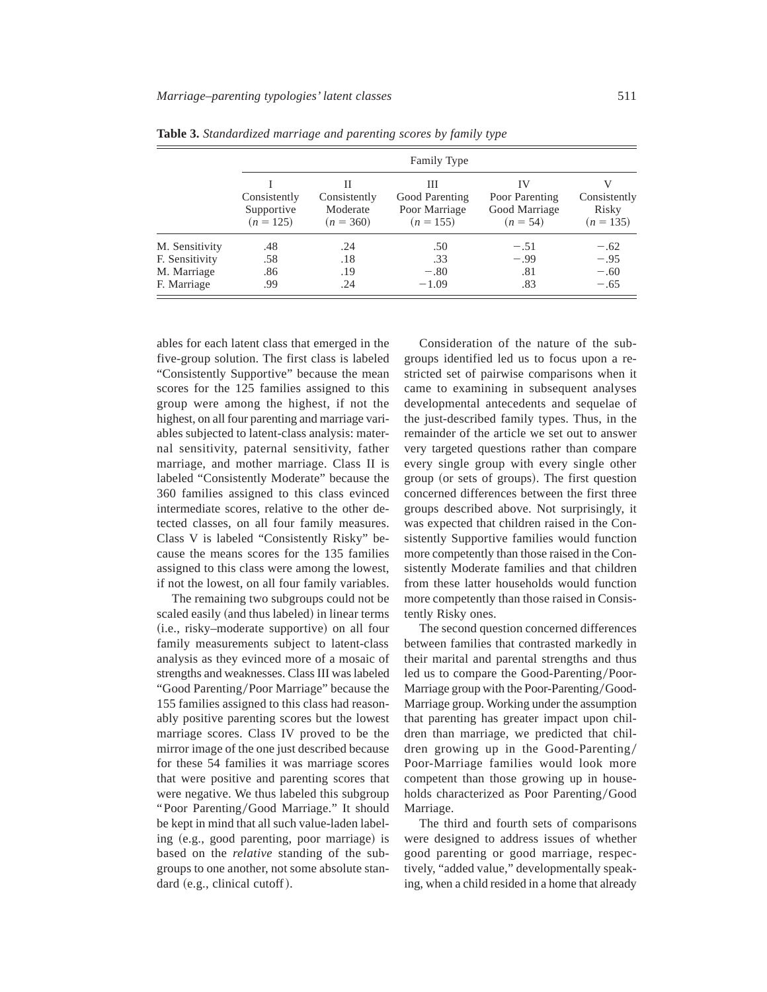|                | Family Type                               |                                              |                                                     |                                                     |                                      |  |
|----------------|-------------------------------------------|----------------------------------------------|-----------------------------------------------------|-----------------------------------------------------|--------------------------------------|--|
|                | Consistently<br>Supportive<br>$(n = 125)$ | П<br>Consistently<br>Moderate<br>$(n = 360)$ | Ш<br>Good Parenting<br>Poor Marriage<br>$(n = 155)$ | IV<br>Poor Parenting<br>Good Marriage<br>$(n = 54)$ | Consistently<br>Risky<br>$(n = 135)$ |  |
| M. Sensitivity | .48                                       | .24                                          | .50                                                 | $-.51$                                              | $-.62$                               |  |
| F. Sensitivity | .58                                       | .18                                          | .33                                                 | $-.99$                                              | $-.95$                               |  |
| M. Marriage    | .86                                       | .19                                          | $-.80$                                              | .81                                                 | $-.60$                               |  |
| F. Marriage    | .99                                       | .24                                          | $-1.09$                                             | .83                                                 | $-.65$                               |  |

**Table 3.** *Standardized marriage and parenting scores by family type*

ables for each latent class that emerged in the five-group solution. The first class is labeled "Consistently Supportive" because the mean scores for the 125 families assigned to this group were among the highest, if not the highest, on all four parenting and marriage variables subjected to latent-class analysis: maternal sensitivity, paternal sensitivity, father marriage, and mother marriage. Class II is labeled "Consistently Moderate" because the 360 families assigned to this class evinced intermediate scores, relative to the other detected classes, on all four family measures. Class V is labeled "Consistently Risky" because the means scores for the 135 families assigned to this class were among the lowest, if not the lowest, on all four family variables.

The remaining two subgroups could not be scaled easily (and thus labeled) in linear terms (i.e., risky–moderate supportive) on all four family measurements subject to latent-class analysis as they evinced more of a mosaic of strengths and weaknesses. Class III was labeled "Good Parenting/Poor Marriage" because the 155 families assigned to this class had reasonably positive parenting scores but the lowest marriage scores. Class IV proved to be the mirror image of the one just described because for these 54 families it was marriage scores that were positive and parenting scores that were negative. We thus labeled this subgroup "Poor Parenting/Good Marriage." It should be kept in mind that all such value-laden labeling (e.g., good parenting, poor marriage) is based on the *relative* standing of the subgroups to one another, not some absolute standard  $(e.g., clinical cutoff)$ .

Consideration of the nature of the subgroups identified led us to focus upon a restricted set of pairwise comparisons when it came to examining in subsequent analyses developmental antecedents and sequelae of the just-described family types. Thus, in the remainder of the article we set out to answer very targeted questions rather than compare every single group with every single other group (or sets of groups). The first question concerned differences between the first three groups described above. Not surprisingly, it was expected that children raised in the Consistently Supportive families would function more competently than those raised in the Consistently Moderate families and that children from these latter households would function more competently than those raised in Consistently Risky ones.

The second question concerned differences between families that contrasted markedly in their marital and parental strengths and thus led us to compare the Good-Parenting/Poor-Marriage group with the Poor-Parenting/Good-Marriage group. Working under the assumption that parenting has greater impact upon children than marriage, we predicted that children growing up in the Good-Parenting/ Poor-Marriage families would look more competent than those growing up in households characterized as Poor Parenting/Good Marriage.

The third and fourth sets of comparisons were designed to address issues of whether good parenting or good marriage, respectively, "added value," developmentally speaking, when a child resided in a home that already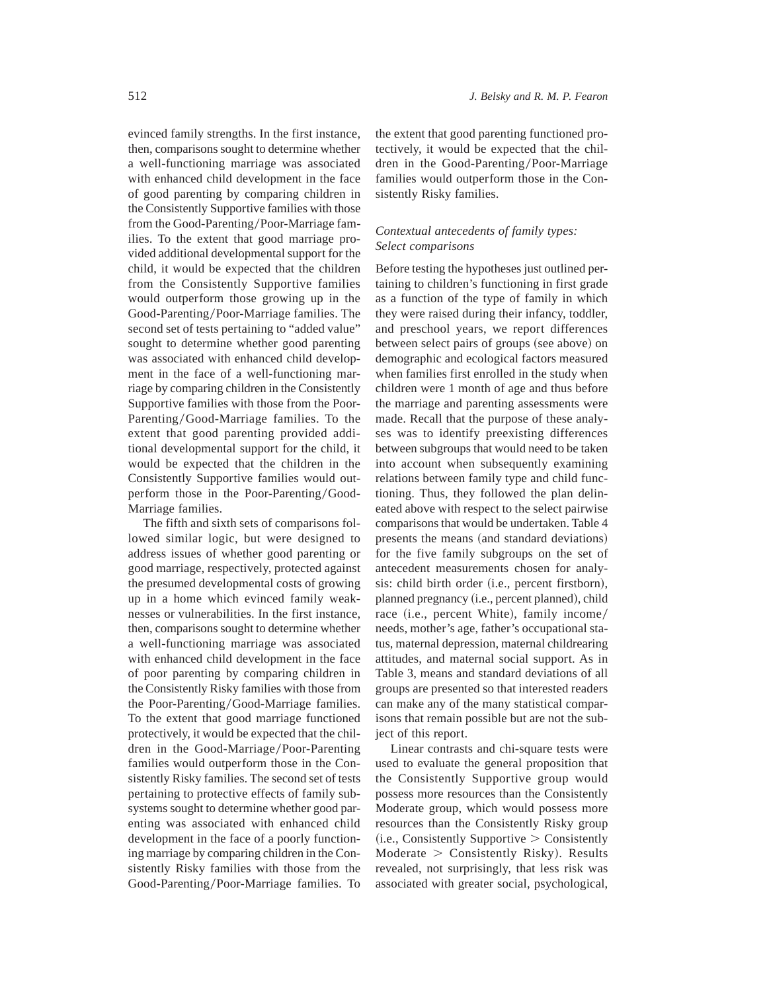evinced family strengths. In the first instance, then, comparisons sought to determine whether a well-functioning marriage was associated with enhanced child development in the face of good parenting by comparing children in the Consistently Supportive families with those from the Good-Parenting/Poor-Marriage families. To the extent that good marriage provided additional developmental support for the child, it would be expected that the children from the Consistently Supportive families would outperform those growing up in the Good-Parenting/Poor-Marriage families. The second set of tests pertaining to "added value" sought to determine whether good parenting was associated with enhanced child development in the face of a well-functioning marriage by comparing children in the Consistently Supportive families with those from the Poor-Parenting/Good-Marriage families. To the extent that good parenting provided additional developmental support for the child, it would be expected that the children in the Consistently Supportive families would outperform those in the Poor-Parenting/Good-Marriage families.

The fifth and sixth sets of comparisons followed similar logic, but were designed to address issues of whether good parenting or good marriage, respectively, protected against the presumed developmental costs of growing up in a home which evinced family weaknesses or vulnerabilities. In the first instance, then, comparisons sought to determine whether a well-functioning marriage was associated with enhanced child development in the face of poor parenting by comparing children in the Consistently Risky families with those from the Poor-Parenting/Good-Marriage families. To the extent that good marriage functioned protectively, it would be expected that the children in the Good-Marriage/Poor-Parenting families would outperform those in the Consistently Risky families. The second set of tests pertaining to protective effects of family subsystems sought to determine whether good parenting was associated with enhanced child development in the face of a poorly functioning marriage by comparing children in the Consistently Risky families with those from the Good-Parenting/Poor-Marriage families. To

the extent that good parenting functioned protectively, it would be expected that the children in the Good-Parenting/Poor-Marriage families would outperform those in the Consistently Risky families.

# *Contextual antecedents of family types: Select comparisons*

Before testing the hypotheses just outlined pertaining to children's functioning in first grade as a function of the type of family in which they were raised during their infancy, toddler, and preschool years, we report differences between select pairs of groups (see above) on demographic and ecological factors measured when families first enrolled in the study when children were 1 month of age and thus before the marriage and parenting assessments were made. Recall that the purpose of these analyses was to identify preexisting differences between subgroups that would need to be taken into account when subsequently examining relations between family type and child functioning. Thus, they followed the plan delineated above with respect to the select pairwise comparisons that would be undertaken. Table 4 presents the means (and standard deviations) for the five family subgroups on the set of antecedent measurements chosen for analysis: child birth order (i.e., percent firstborn), planned pregnancy (i.e., percent planned), child race (i.e., percent White), family income/ needs, mother's age, father's occupational status, maternal depression, maternal childrearing attitudes, and maternal social support. As in Table 3, means and standard deviations of all groups are presented so that interested readers can make any of the many statistical comparisons that remain possible but are not the subject of this report.

Linear contrasts and chi-square tests were used to evaluate the general proposition that the Consistently Supportive group would possess more resources than the Consistently Moderate group, which would possess more resources than the Consistently Risky group  $(i.e., Consistently Supportive > Consistently$  $Modernate > Consistently Risky$ . Results revealed, not surprisingly, that less risk was associated with greater social, psychological,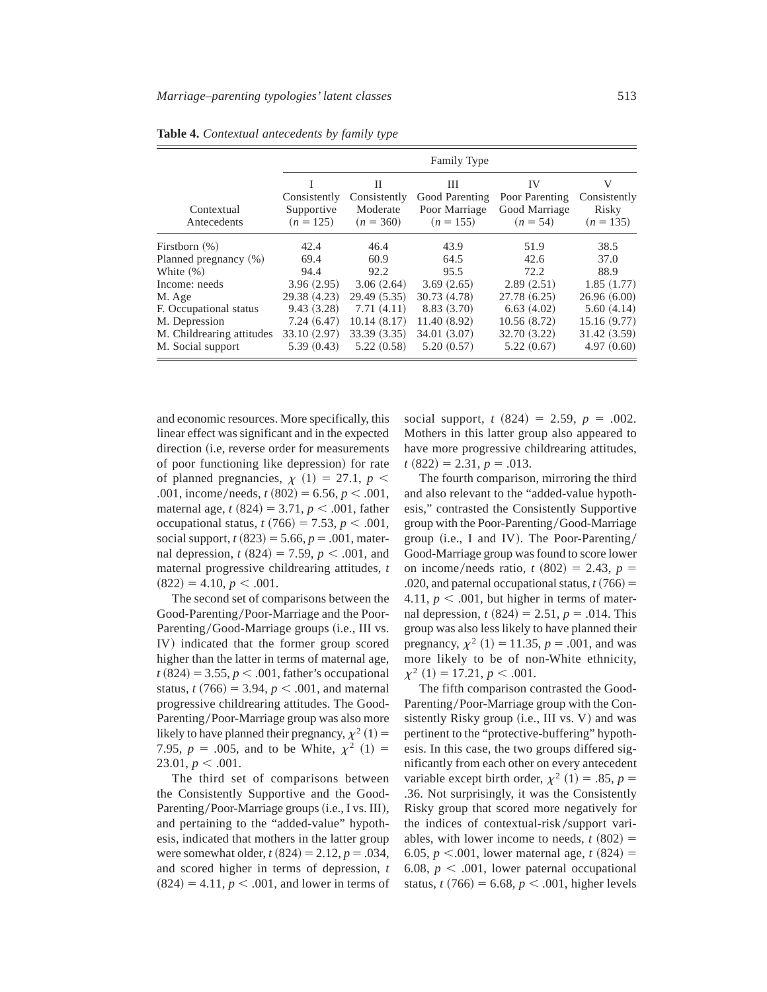|                           | <b>Family Type</b> |              |                |                |              |
|---------------------------|--------------------|--------------|----------------|----------------|--------------|
|                           |                    | П            | Ш              | IV             | V            |
|                           | Consistently       | Consistently | Good Parenting | Poor Parenting | Consistently |
| Contextual                | Supportive         | Moderate     | Poor Marriage  | Good Marriage  | Risky        |
| Antecedents               | $(n = 125)$        | $(n = 360)$  | $(n = 155)$    | $(n = 54)$     | $(n = 135)$  |
| Firstborn $(\%)$          | 42.4               | 46.4         | 43.9           | 51.9           | 38.5         |
| Planned pregnancy (%)     | 69.4               | 60.9         | 64.5           | 42.6           | 37.0         |
| White $(\%)$              | 94.4               | 92.2         | 95.5           | 72.2           | 88.9         |
| Income: needs             | 3.96(2.95)         | 3.06(2.64)   | 3.69(2.65)     | 2.89(2.51)     | 1.85(1.77)   |
| M. Age                    | 29.38 (4.23)       | 29.49 (5.35) | 30.73 (4.78)   | 27.78 (6.25)   | 26.96(6.00)  |
| F. Occupational status    | 9.43(3.28)         | 7.71(4.11)   | 8.83 (3.70)    | 6.63(4.02)     | 5.60(4.14)   |
| M. Depression             | 7.24(6.47)         | 10.14(8.17)  | 11.40 (8.92)   | 10.56(8.72)    | 15.16(9.77)  |
| M. Childrearing attitudes | 33.10 (2.97)       | 33.39 (3.35) | 34.01 (3.07)   | 32.70 (3.22)   | 31.42 (3.59) |
| M. Social support         | 5.39(0.43)         | 5.22(0.58)   | 5.20(0.57)     | 5.22(0.67)     | 4.97(0.60)   |

**Table 4.** *Contextual antecedents by family type*

and economic resources. More specifically, this linear effect was significant and in the expected direction (i.e, reverse order for measurements of poor functioning like depression) for rate of planned pregnancies,  $\chi$  (1) = 27.1,  $p$  < .001, income/needs,  $t (802) = 6.56, p < .001$ , maternal age,  $t (824) = 3.71, p < .001$ , father occupational status,  $t (766) = 7.53$ ,  $p < .001$ , social support,  $t (823) = 5.66$ ,  $p = .001$ , maternal depression,  $t (824) = 7.59$ ,  $p < .001$ , and maternal progressive childrearing attitudes, *t*  $(822) = 4.10, p < .001.$ 

The second set of comparisons between the Good-Parenting/Poor-Marriage and the Poor-Parenting/Good-Marriage groups (i.e., III vs. IV) indicated that the former group scored higher than the latter in terms of maternal age,  $t(824) = 3.55, p < .001$ , father's occupational status,  $t(766) = 3.94$ ,  $p < .001$ , and maternal progressive childrearing attitudes. The Good-Parenting/Poor-Marriage group was also more likely to have planned their pregnancy,  $\chi^2$  (1) = 7.95,  $p = .005$ , and to be White,  $\chi^2$  (1) =  $23.01, p \leq .001.$ 

The third set of comparisons between the Consistently Supportive and the Good-Parenting/Poor-Marriage groups (i.e., I vs. III), and pertaining to the "added-value" hypothesis, indicated that mothers in the latter group were somewhat older,  $t (824) = 2.12, p = .034,$ and scored higher in terms of depression, *t*  $(824) = 4.11, p < .001$ , and lower in terms of social support,  $t$   $(824) = 2.59, p = .002$ . Mothers in this latter group also appeared to have more progressive childrearing attitudes,  $t(822) = 2.31, p = .013.$ 

The fourth comparison, mirroring the third and also relevant to the "added-value hypothesis," contrasted the Consistently Supportive group with the Poor-Parenting/Good-Marriage group (i.e., I and IV). The Poor-Parenting/ Good-Marriage group was found to score lower on income/needs ratio,  $t (802) = 2.43$ ,  $p =$ .020, and paternal occupational status,  $t (766) =$ 4.11,  $p < .001$ , but higher in terms of maternal depression,  $t (824) = 2.51, p = .014$ . This group was also less likely to have planned their pregnancy,  $\chi^2$  (1) = 11.35, *p* = .001, and was more likely to be of non-White ethnicity,  $\chi^2$  (1) = 17.21, *p* < .001.

The fifth comparison contrasted the Good-Parenting/Poor-Marriage group with the Consistently Risky group  $(i.e., III vs. V)$  and was pertinent to the "protective-buffering" hypothesis. In this case, the two groups differed significantly from each other on every antecedent variable except birth order,  $\chi^2$  (1) = .85, *p* = .36. Not surprisingly, it was the Consistently Risky group that scored more negatively for the indices of contextual-risk/support variables, with lower income to needs,  $t (802) =$ 6.05,  $p < .001$ , lower maternal age,  $t (824) =$ 6.08,  $p < .001$ , lower paternal occupational status,  $t (766) = 6.68, p < .001$ , higher levels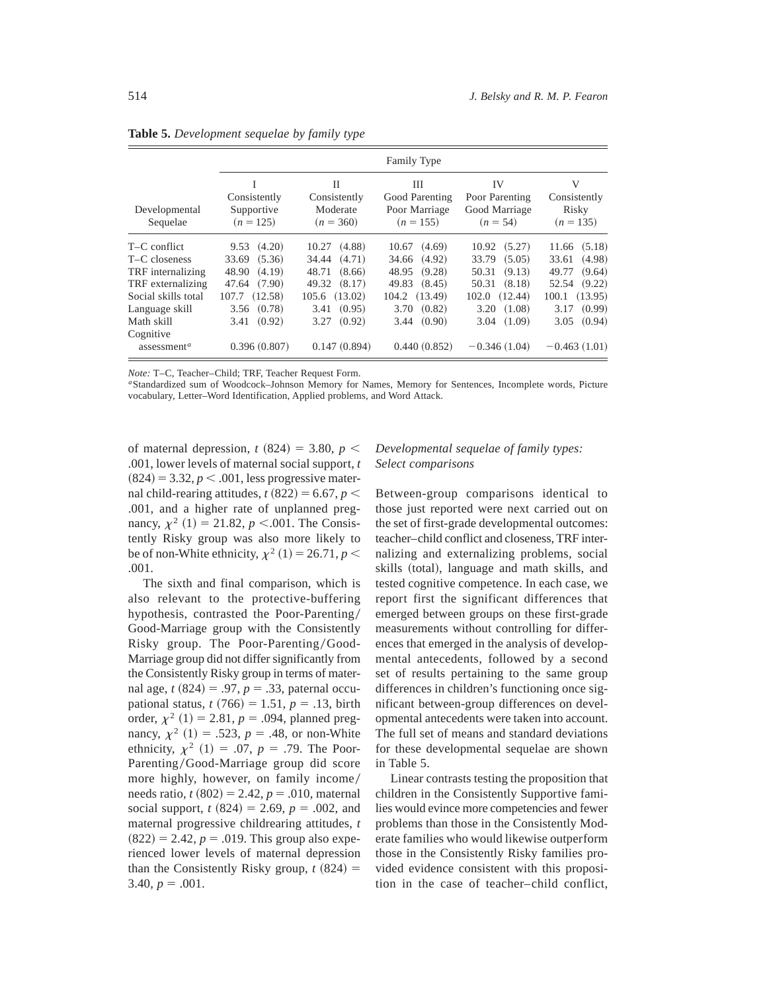|                         | Family Type     |                 |                  |                       |                  |
|-------------------------|-----------------|-----------------|------------------|-----------------------|------------------|
|                         |                 | Н               | Ш                | IV                    | V                |
|                         | Consistently    | Consistently    | Good Parenting   | Poor Parenting        | Consistently     |
| Developmental           | Supportive      | Moderate        | Poor Marriage    | Good Marriage         | Risky            |
| Sequelae                | $(n = 125)$     | $(n = 360)$     | $(n = 155)$      | $(n = 54)$            | $(n = 135)$      |
| T–C conflict            | (4.20)<br>9.53  | (4.88)<br>10.27 | $10.67$ $(4.69)$ | (5.27)<br>10.92       | $11.66$ $(5.18)$ |
| T-C closeness           | (5.36)<br>33.69 | (4.71)<br>34.44 | 34.66 (4.92)     | 33.79<br>(5.05)       | (4.98)<br>33.61  |
| TRF internalizing       | (4.19)<br>48.90 | (8.66)<br>48.71 | (9.28)<br>48.95  | 50.31<br>(9.13)       | (9.64)<br>49.77  |
| TRF externalizing       | (7.90)<br>47.64 | (8.17)<br>49.32 | (8.45)<br>49.83  | (8.18)<br>50.31       | (9.22)<br>52.54  |
| Social skills total     | 107.7 (12.58)   | 105.6 (13.02)   | 104.2 (13.49)    | $102.0 \quad (12.44)$ | (13.95)<br>100.1 |
| Language skill          | (0.78)<br>3.56  | (0.95)<br>3.41  | 3.70(0.82)       | (1.08)<br>3.20        | (0.99)<br>3.17   |
| Math skill              | (0.92)<br>3.41  | (0.92)<br>3.27  | 3.44(0.90)       | (1.09)<br>3.04        | (0.94)<br>3.05   |
| Cognitive               |                 |                 |                  |                       |                  |
| assessment <sup>a</sup> | 0.396(0.807)    | 0.147(0.894)    | 0.440(0.852)     | $-0.346(1.04)$        | $-0.463(1.01)$   |

**Table 5.** *Development sequelae by family type*

*Note:* T–C, Teacher–Child; TRF, Teacher Request Form.

*<sup>a</sup>*Standardized sum of Woodcock–Johnson Memory for Names, Memory for Sentences, Incomplete words, Picture vocabulary, Letter–Word Identification, Applied problems, and Word Attack.

of maternal depression,  $t$   $(824) = 3.80, p <$ .001, lower levels of maternal social support, *t*  $(824) = 3.32, p < .001$ , less progressive maternal child-rearing attitudes,  $t(822) = 6.67$ ,  $p <$ .001, and a higher rate of unplanned pregnancy,  $\chi^2$  (1) = 21.82, *p* <.001. The Consistently Risky group was also more likely to be of non-White ethnicity,  $\chi^2$  (1) = 26.71, *p* < .001.

The sixth and final comparison, which is also relevant to the protective-buffering hypothesis, contrasted the Poor-Parenting/ Good-Marriage group with the Consistently Risky group. The Poor-Parenting/Good-Marriage group did not differ significantly from the Consistently Risky group in terms of maternal age,  $t (824) = .97, p = .33$ , paternal occupational status,  $t(766) = 1.51$ ,  $p = .13$ , birth order,  $\chi^2$  (1) = 2.81, *p* = .094, planned pregnancy,  $\chi^2$  (1) = .523,  $p = .48$ , or non-White ethnicity,  $\chi^2$  (1) = .07,  $p = .79$ . The Poor-Parenting/Good-Marriage group did score more highly, however, on family income/ needs ratio,  $t (802) = 2.42, p = .010$ , maternal social support,  $t (824) = 2.69$ ,  $p = .002$ , and maternal progressive childrearing attitudes, *t*  $(822) = 2.42, p = .019$ . This group also experienced lower levels of maternal depression than the Consistently Risky group,  $t(824) =$ 3.40,  $p = .001$ .

# *Developmental sequelae of family types: Select comparisons*

Between-group comparisons identical to those just reported were next carried out on the set of first-grade developmental outcomes: teacher–child conflict and closeness, TRF internalizing and externalizing problems, social skills (total), language and math skills, and tested cognitive competence. In each case, we report first the significant differences that emerged between groups on these first-grade measurements without controlling for differences that emerged in the analysis of developmental antecedents, followed by a second set of results pertaining to the same group differences in children's functioning once significant between-group differences on developmental antecedents were taken into account. The full set of means and standard deviations for these developmental sequelae are shown in Table 5.

Linear contrasts testing the proposition that children in the Consistently Supportive families would evince more competencies and fewer problems than those in the Consistently Moderate families who would likewise outperform those in the Consistently Risky families provided evidence consistent with this proposition in the case of teacher–child conflict,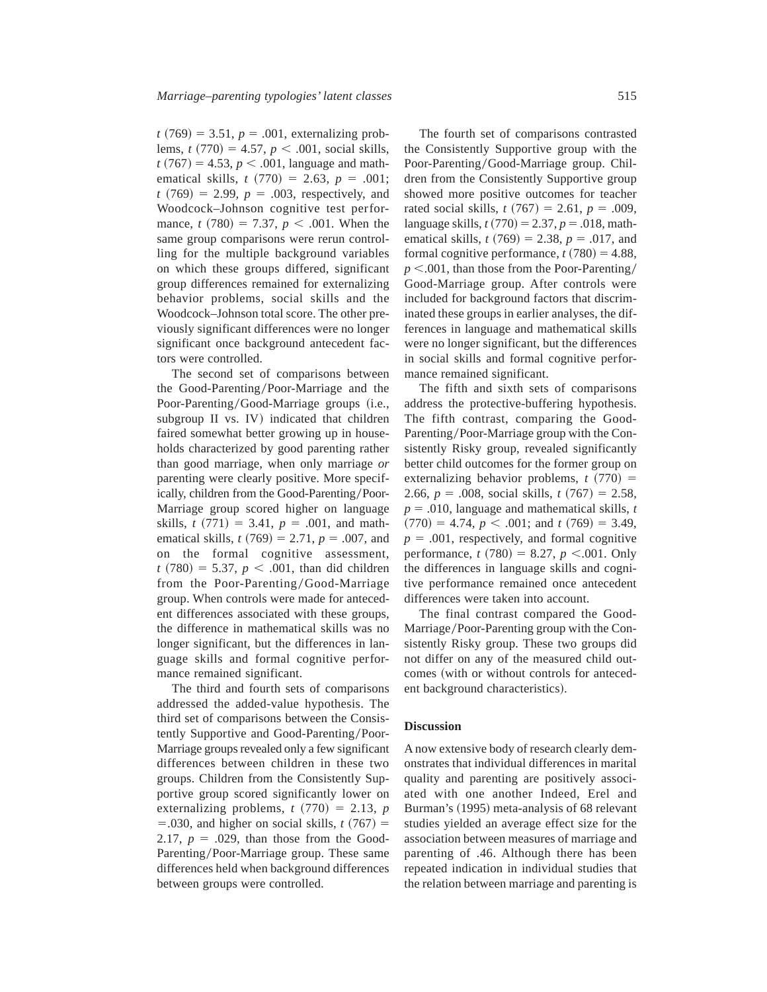$t(769) = 3.51, p = .001$ , externalizing problems,  $t(770) = 4.57$ ,  $p < .001$ , social skills,  $t(767) = 4.53, p < .001$ , language and mathematical skills,  $t$  (770) = 2.63,  $p = .001$ ;  $t (769) = 2.99, p = .003$ , respectively, and Woodcock–Johnson cognitive test performance,  $t(780) = 7.37$ ,  $p < .001$ . When the same group comparisons were rerun controlling for the multiple background variables on which these groups differed, significant group differences remained for externalizing behavior problems, social skills and the Woodcock–Johnson total score. The other previously significant differences were no longer significant once background antecedent factors were controlled.

The second set of comparisons between the Good-Parenting/Poor-Marriage and the Poor-Parenting/Good-Marriage groups (i.e., subgroup II vs. IV) indicated that children faired somewhat better growing up in households characterized by good parenting rather than good marriage, when only marriage *or* parenting were clearly positive. More specifically, children from the Good-Parenting/Poor-Marriage group scored higher on language skills,  $t$  (771) = 3.41,  $p = .001$ , and mathematical skills,  $t (769) = 2.71$ ,  $p = .007$ , and on the formal cognitive assessment,  $t(780) = 5.37, p < .001$ , than did children from the Poor-Parenting/Good-Marriage group. When controls were made for antecedent differences associated with these groups, the difference in mathematical skills was no longer significant, but the differences in language skills and formal cognitive performance remained significant.

The third and fourth sets of comparisons addressed the added-value hypothesis. The third set of comparisons between the Consistently Supportive and Good-Parenting/Poor-Marriage groups revealed only a few significant differences between children in these two groups. Children from the Consistently Supportive group scored significantly lower on externalizing problems,  $t$   $(770) = 2.13$ , *p*  $=$  0.030, and higher on social skills,  $t$  (767)  $=$ 2.17,  $p = .029$ , than those from the Good-Parenting/Poor-Marriage group. These same differences held when background differences between groups were controlled.

The fourth set of comparisons contrasted the Consistently Supportive group with the Poor-Parenting/Good-Marriage group. Children from the Consistently Supportive group showed more positive outcomes for teacher rated social skills,  $t (767) = 2.61$ ,  $p = .009$ , language skills,  $t(770) = 2.37$ ,  $p = .018$ , mathematical skills,  $t (769) = 2.38$ ,  $p = .017$ , and formal cognitive performance,  $t(780) = 4.88$ ,  $p < .001$ , than those from the Poor-Parenting/ Good-Marriage group. After controls were included for background factors that discriminated these groups in earlier analyses, the differences in language and mathematical skills were no longer significant, but the differences in social skills and formal cognitive performance remained significant.

The fifth and sixth sets of comparisons address the protective-buffering hypothesis. The fifth contrast, comparing the Good-Parenting/Poor-Marriage group with the Consistently Risky group, revealed significantly better child outcomes for the former group on externalizing behavior problems,  $t$  (770)  $=$ 2.66,  $p = .008$ , social skills,  $t (767) = 2.58$ ,  $p = .010$ , language and mathematical skills,  $t$  $(770) = 4.74$ ,  $p < .001$ ; and  $t(769) = 3.49$ ,  $p = .001$ , respectively, and formal cognitive performance,  $t (780) = 8.27, p < .001$ . Only the differences in language skills and cognitive performance remained once antecedent differences were taken into account.

The final contrast compared the Good-Marriage/Poor-Parenting group with the Consistently Risky group. These two groups did not differ on any of the measured child outcomes (with or without controls for antecedent background characteristics).

#### **Discussion**

A now extensive body of research clearly demonstrates that individual differences in marital quality and parenting are positively associated with one another Indeed, Erel and Burman's (1995) meta-analysis of 68 relevant studies yielded an average effect size for the association between measures of marriage and parenting of .46. Although there has been repeated indication in individual studies that the relation between marriage and parenting is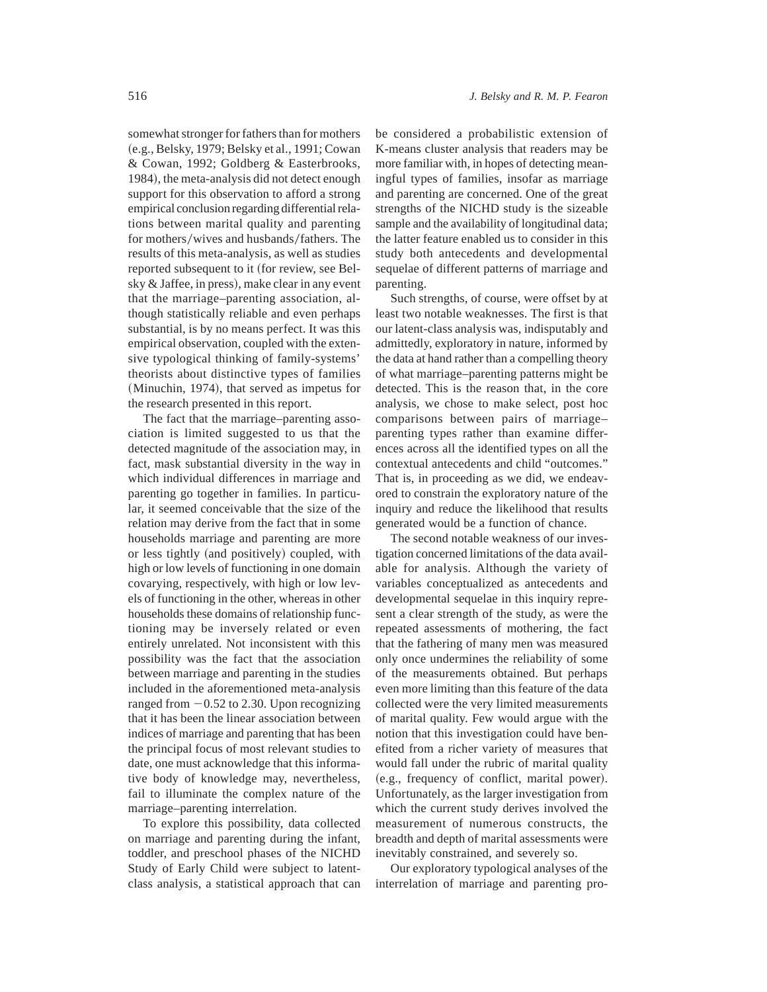somewhat stronger for fathers than for mothers (e.g., Belsky, 1979; Belsky et al., 1991; Cowan & Cowan, 1992; Goldberg & Easterbrooks, 1984), the meta-analysis did not detect enough support for this observation to afford a strong empirical conclusion regarding differential relations between marital quality and parenting for mothers/wives and husbands/fathers. The results of this meta-analysis, as well as studies reported subsequent to it (for review, see Belsky  $&$  Jaffee, in press), make clear in any event that the marriage–parenting association, although statistically reliable and even perhaps substantial, is by no means perfect. It was this empirical observation, coupled with the extensive typological thinking of family-systems' theorists about distinctive types of families (Minuchin, 1974), that served as impetus for the research presented in this report.

The fact that the marriage–parenting association is limited suggested to us that the detected magnitude of the association may, in fact, mask substantial diversity in the way in which individual differences in marriage and parenting go together in families. In particular, it seemed conceivable that the size of the relation may derive from the fact that in some households marriage and parenting are more or less tightly (and positively) coupled, with high or low levels of functioning in one domain covarying, respectively, with high or low levels of functioning in the other, whereas in other households these domains of relationship functioning may be inversely related or even entirely unrelated. Not inconsistent with this possibility was the fact that the association between marriage and parenting in the studies included in the aforementioned meta-analysis ranged from  $-0.52$  to 2.30. Upon recognizing that it has been the linear association between indices of marriage and parenting that has been the principal focus of most relevant studies to date, one must acknowledge that this informative body of knowledge may, nevertheless, fail to illuminate the complex nature of the marriage–parenting interrelation.

To explore this possibility, data collected on marriage and parenting during the infant, toddler, and preschool phases of the NICHD Study of Early Child were subject to latentclass analysis, a statistical approach that can

be considered a probabilistic extension of K-means cluster analysis that readers may be more familiar with, in hopes of detecting meaningful types of families, insofar as marriage and parenting are concerned. One of the great strengths of the NICHD study is the sizeable sample and the availability of longitudinal data; the latter feature enabled us to consider in this study both antecedents and developmental sequelae of different patterns of marriage and parenting.

Such strengths, of course, were offset by at least two notable weaknesses. The first is that our latent-class analysis was, indisputably and admittedly, exploratory in nature, informed by the data at hand rather than a compelling theory of what marriage–parenting patterns might be detected. This is the reason that, in the core analysis, we chose to make select, post hoc comparisons between pairs of marriage– parenting types rather than examine differences across all the identified types on all the contextual antecedents and child "outcomes." That is, in proceeding as we did, we endeavored to constrain the exploratory nature of the inquiry and reduce the likelihood that results generated would be a function of chance.

The second notable weakness of our investigation concerned limitations of the data available for analysis. Although the variety of variables conceptualized as antecedents and developmental sequelae in this inquiry represent a clear strength of the study, as were the repeated assessments of mothering, the fact that the fathering of many men was measured only once undermines the reliability of some of the measurements obtained. But perhaps even more limiting than this feature of the data collected were the very limited measurements of marital quality. Few would argue with the notion that this investigation could have benefited from a richer variety of measures that would fall under the rubric of marital quality  $(e.g., frequency of conflict, marital power).$ Unfortunately, as the larger investigation from which the current study derives involved the measurement of numerous constructs, the breadth and depth of marital assessments were inevitably constrained, and severely so.

Our exploratory typological analyses of the interrelation of marriage and parenting pro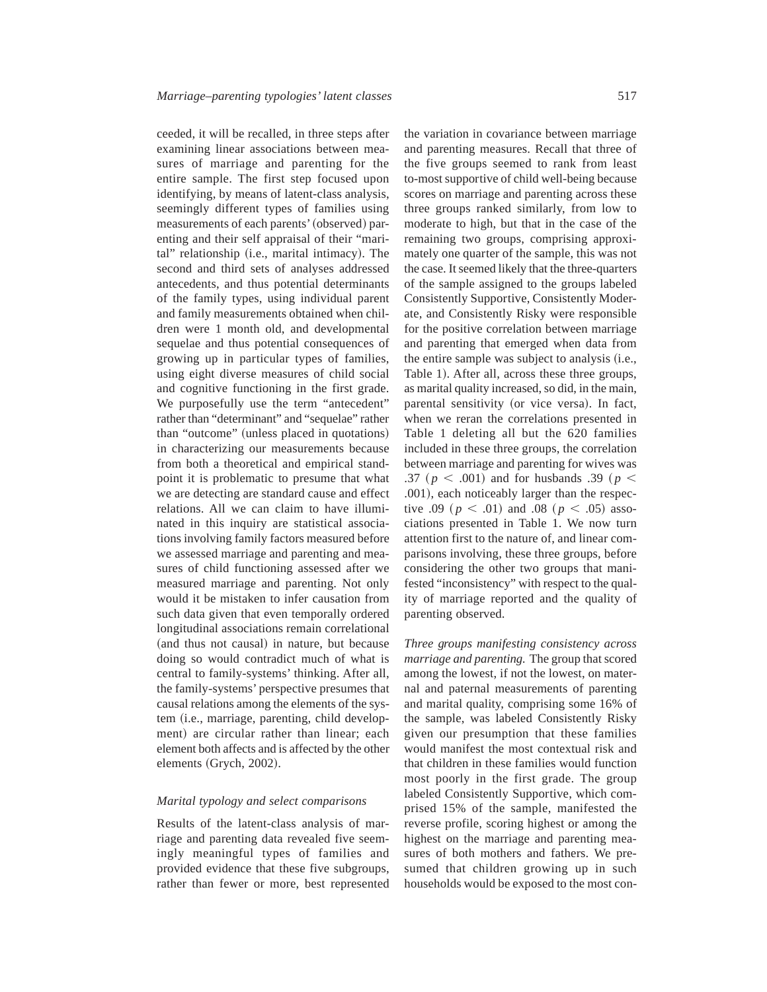ceeded, it will be recalled, in three steps after examining linear associations between measures of marriage and parenting for the entire sample. The first step focused upon identifying, by means of latent-class analysis, seemingly different types of families using measurements of each parents' (observed) parenting and their self appraisal of their "marital" relationship (i.e., marital intimacy). The second and third sets of analyses addressed antecedents, and thus potential determinants of the family types, using individual parent and family measurements obtained when children were 1 month old, and developmental sequelae and thus potential consequences of growing up in particular types of families, using eight diverse measures of child social and cognitive functioning in the first grade. We purposefully use the term "antecedent" rather than "determinant" and "sequelae" rather than "outcome" (unless placed in quotations) in characterizing our measurements because from both a theoretical and empirical standpoint it is problematic to presume that what we are detecting are standard cause and effect relations. All we can claim to have illuminated in this inquiry are statistical associations involving family factors measured before we assessed marriage and parenting and measures of child functioning assessed after we measured marriage and parenting. Not only would it be mistaken to infer causation from such data given that even temporally ordered longitudinal associations remain correlational (and thus not causal) in nature, but because doing so would contradict much of what is central to family-systems' thinking. After all, the family-systems' perspective presumes that causal relations among the elements of the system (i.e., marriage, parenting, child development) are circular rather than linear; each element both affects and is affected by the other elements (Grych, 2002).

## *Marital typology and select comparisons*

Results of the latent-class analysis of marriage and parenting data revealed five seemingly meaningful types of families and provided evidence that these five subgroups, rather than fewer or more, best represented

the variation in covariance between marriage and parenting measures. Recall that three of the five groups seemed to rank from least to-most supportive of child well-being because scores on marriage and parenting across these three groups ranked similarly, from low to moderate to high, but that in the case of the remaining two groups, comprising approximately one quarter of the sample, this was not the case. It seemed likely that the three-quarters of the sample assigned to the groups labeled Consistently Supportive, Consistently Moderate, and Consistently Risky were responsible for the positive correlation between marriage and parenting that emerged when data from the entire sample was subject to analysis (i.e., Table 1). After all, across these three groups, as marital quality increased, so did, in the main, parental sensitivity (or vice versa). In fact, when we reran the correlations presented in Table 1 deleting all but the 620 families included in these three groups, the correlation between marriage and parenting for wives was .37  $(p < .001)$  and for husbands .39  $(p <$ .001), each noticeably larger than the respective .09 ( $p < .01$ ) and .08 ( $p < .05$ ) associations presented in Table 1. We now turn attention first to the nature of, and linear comparisons involving, these three groups, before considering the other two groups that manifested "inconsistency" with respect to the quality of marriage reported and the quality of parenting observed.

*Three groups manifesting consistency across marriage and parenting.* The group that scored among the lowest, if not the lowest, on maternal and paternal measurements of parenting and marital quality, comprising some 16% of the sample, was labeled Consistently Risky given our presumption that these families would manifest the most contextual risk and that children in these families would function most poorly in the first grade. The group labeled Consistently Supportive, which comprised 15% of the sample, manifested the reverse profile, scoring highest or among the highest on the marriage and parenting measures of both mothers and fathers. We presumed that children growing up in such households would be exposed to the most con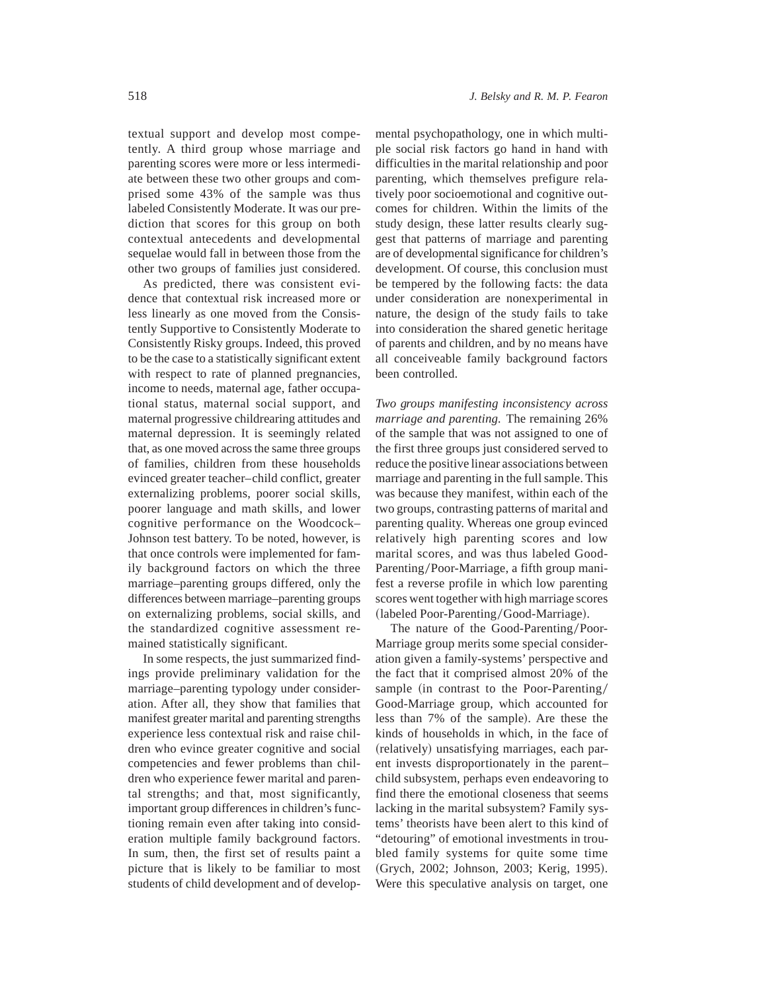textual support and develop most competently. A third group whose marriage and parenting scores were more or less intermediate between these two other groups and comprised some 43% of the sample was thus labeled Consistently Moderate. It was our prediction that scores for this group on both contextual antecedents and developmental sequelae would fall in between those from the other two groups of families just considered.

As predicted, there was consistent evidence that contextual risk increased more or less linearly as one moved from the Consistently Supportive to Consistently Moderate to Consistently Risky groups. Indeed, this proved to be the case to a statistically significant extent with respect to rate of planned pregnancies, income to needs, maternal age, father occupational status, maternal social support, and maternal progressive childrearing attitudes and maternal depression. It is seemingly related that, as one moved across the same three groups of families, children from these households evinced greater teacher–child conflict, greater externalizing problems, poorer social skills, poorer language and math skills, and lower cognitive performance on the Woodcock– Johnson test battery. To be noted, however, is that once controls were implemented for family background factors on which the three marriage–parenting groups differed, only the differences between marriage–parenting groups on externalizing problems, social skills, and the standardized cognitive assessment remained statistically significant.

In some respects, the just summarized findings provide preliminary validation for the marriage–parenting typology under consideration. After all, they show that families that manifest greater marital and parenting strengths experience less contextual risk and raise children who evince greater cognitive and social competencies and fewer problems than children who experience fewer marital and parental strengths; and that, most significantly, important group differences in children's functioning remain even after taking into consideration multiple family background factors. In sum, then, the first set of results paint a picture that is likely to be familiar to most students of child development and of developmental psychopathology, one in which multiple social risk factors go hand in hand with difficulties in the marital relationship and poor parenting, which themselves prefigure relatively poor socioemotional and cognitive outcomes for children. Within the limits of the study design, these latter results clearly suggest that patterns of marriage and parenting are of developmental significance for children's development. Of course, this conclusion must be tempered by the following facts: the data under consideration are nonexperimental in nature, the design of the study fails to take into consideration the shared genetic heritage of parents and children, and by no means have all conceiveable family background factors been controlled.

*Two groups manifesting inconsistency across marriage and parenting.* The remaining 26% of the sample that was not assigned to one of the first three groups just considered served to reduce the positive linear associations between marriage and parenting in the full sample. This was because they manifest, within each of the two groups, contrasting patterns of marital and parenting quality. Whereas one group evinced relatively high parenting scores and low marital scores, and was thus labeled Good-Parenting/Poor-Marriage, a fifth group manifest a reverse profile in which low parenting scores went together with high marriage scores (labeled Poor-Parenting/Good-Marriage).

The nature of the Good-Parenting/Poor-Marriage group merits some special consideration given a family-systems' perspective and the fact that it comprised almost 20% of the sample (in contrast to the Poor-Parenting/ Good-Marriage group, which accounted for less than 7% of the sample). Are these the kinds of households in which, in the face of  $(relatively)$  unsatisfying marriages, each parent invests disproportionately in the parent– child subsystem, perhaps even endeavoring to find there the emotional closeness that seems lacking in the marital subsystem? Family systems' theorists have been alert to this kind of "detouring" of emotional investments in troubled family systems for quite some time (Grych, 2002; Johnson, 2003; Kerig, 1995). Were this speculative analysis on target, one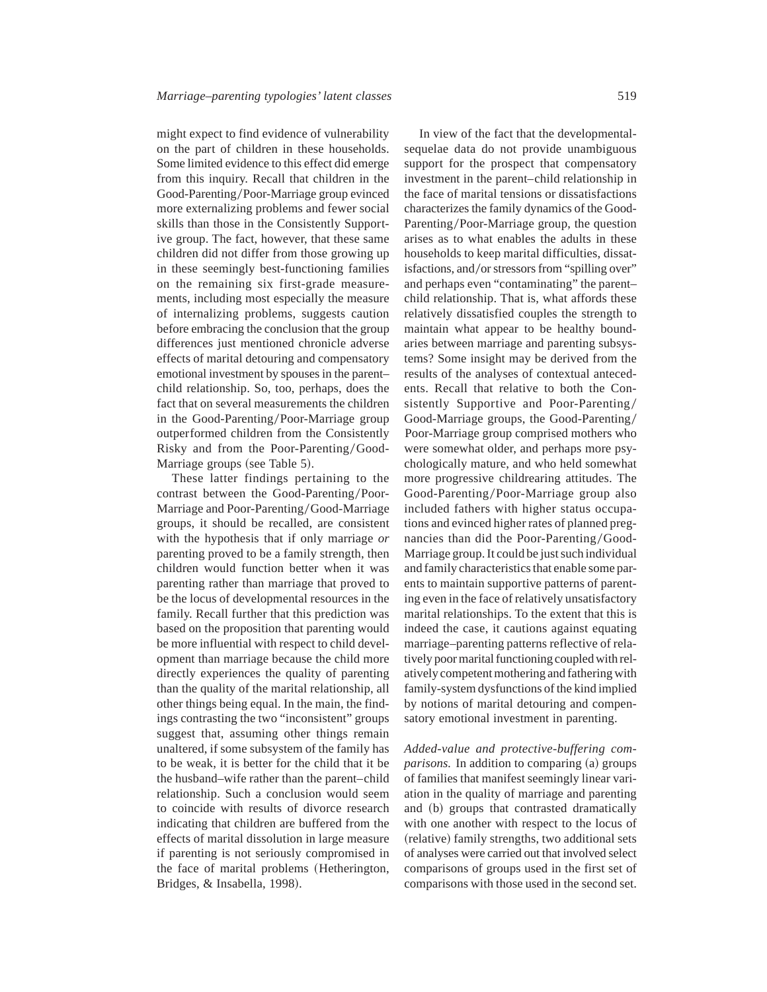might expect to find evidence of vulnerability on the part of children in these households. Some limited evidence to this effect did emerge from this inquiry. Recall that children in the Good-Parenting/Poor-Marriage group evinced more externalizing problems and fewer social skills than those in the Consistently Supportive group. The fact, however, that these same children did not differ from those growing up in these seemingly best-functioning families on the remaining six first-grade measurements, including most especially the measure of internalizing problems, suggests caution before embracing the conclusion that the group differences just mentioned chronicle adverse effects of marital detouring and compensatory emotional investment by spouses in the parent– child relationship. So, too, perhaps, does the fact that on several measurements the children in the Good-Parenting/Poor-Marriage group outperformed children from the Consistently Risky and from the Poor-Parenting/Good-Marriage groups (see Table 5).

These latter findings pertaining to the contrast between the Good-Parenting/Poor-Marriage and Poor-Parenting/Good-Marriage groups, it should be recalled, are consistent with the hypothesis that if only marriage *or* parenting proved to be a family strength, then children would function better when it was parenting rather than marriage that proved to be the locus of developmental resources in the family. Recall further that this prediction was based on the proposition that parenting would be more influential with respect to child development than marriage because the child more directly experiences the quality of parenting than the quality of the marital relationship, all other things being equal. In the main, the findings contrasting the two "inconsistent" groups suggest that, assuming other things remain unaltered, if some subsystem of the family has to be weak, it is better for the child that it be the husband–wife rather than the parent–child relationship. Such a conclusion would seem to coincide with results of divorce research indicating that children are buffered from the effects of marital dissolution in large measure if parenting is not seriously compromised in the face of marital problems (Hetherington, Bridges, & Insabella, 1998).

In view of the fact that the developmentalsequelae data do not provide unambiguous support for the prospect that compensatory investment in the parent–child relationship in the face of marital tensions or dissatisfactions characterizes the family dynamics of the Good-Parenting/Poor-Marriage group, the question arises as to what enables the adults in these households to keep marital difficulties, dissatisfactions, and/or stressors from "spilling over" and perhaps even "contaminating" the parent– child relationship. That is, what affords these relatively dissatisfied couples the strength to maintain what appear to be healthy boundaries between marriage and parenting subsystems? Some insight may be derived from the results of the analyses of contextual antecedents. Recall that relative to both the Consistently Supportive and Poor-Parenting/ Good-Marriage groups, the Good-Parenting/ Poor-Marriage group comprised mothers who were somewhat older, and perhaps more psychologically mature, and who held somewhat more progressive childrearing attitudes. The Good-Parenting/Poor-Marriage group also included fathers with higher status occupations and evinced higher rates of planned pregnancies than did the Poor-Parenting/Good-Marriage group. It could be just such individual and family characteristics that enable some parents to maintain supportive patterns of parenting even in the face of relatively unsatisfactory marital relationships. To the extent that this is indeed the case, it cautions against equating marriage–parenting patterns reflective of relatively poor marital functioning coupled with relatively competent mothering and fathering with family-system dysfunctions of the kind implied by notions of marital detouring and compensatory emotional investment in parenting.

*Added-value and protective-buffering comparisons.* In addition to comparing (a) groups of families that manifest seemingly linear variation in the quality of marriage and parenting and (b) groups that contrasted dramatically with one another with respect to the locus of  $(relative)$  family strengths, two additional sets of analyses were carried out that involved select comparisons of groups used in the first set of comparisons with those used in the second set.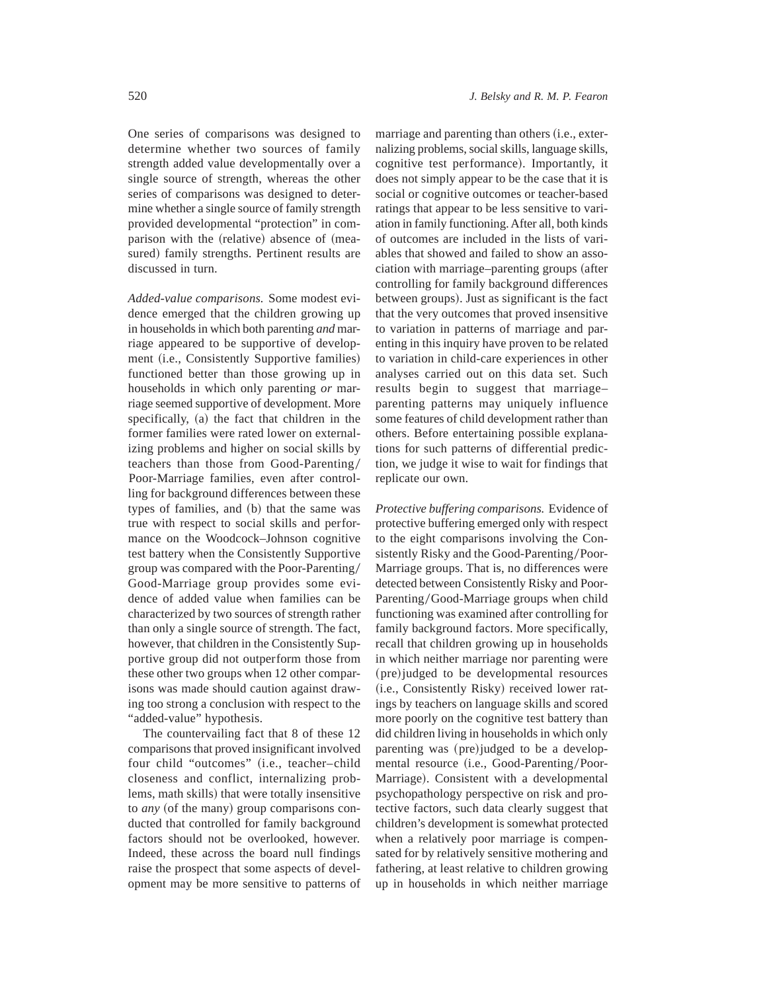One series of comparisons was designed to determine whether two sources of family strength added value developmentally over a single source of strength, whereas the other series of comparisons was designed to determine whether a single source of family strength provided developmental "protection" in comparison with the (relative) absence of (measured) family strengths. Pertinent results are discussed in turn.

*Added-value comparisons.* Some modest evidence emerged that the children growing up in households in which both parenting *and* marriage appeared to be supportive of development (i.e., Consistently Supportive families) functioned better than those growing up in households in which only parenting *or* marriage seemed supportive of development. More specifically, (a) the fact that children in the former families were rated lower on externalizing problems and higher on social skills by teachers than those from Good-Parenting/ Poor-Marriage families, even after controlling for background differences between these types of families, and (b) that the same was true with respect to social skills and performance on the Woodcock–Johnson cognitive test battery when the Consistently Supportive group was compared with the Poor-Parenting/ Good-Marriage group provides some evidence of added value when families can be characterized by two sources of strength rather than only a single source of strength. The fact, however, that children in the Consistently Supportive group did not outperform those from these other two groups when 12 other comparisons was made should caution against drawing too strong a conclusion with respect to the "added-value" hypothesis.

The countervailing fact that 8 of these 12 comparisons that proved insignificant involved four child "outcomes" (*i.e.*, teacher–child closeness and conflict, internalizing problems, math skills) that were totally insensitive to *any* (of the many) group comparisons conducted that controlled for family background factors should not be overlooked, however. Indeed, these across the board null findings raise the prospect that some aspects of development may be more sensitive to patterns of marriage and parenting than others (i.e., externalizing problems, social skills, language skills, cognitive test performance). Importantly, it does not simply appear to be the case that it is social or cognitive outcomes or teacher-based ratings that appear to be less sensitive to variation in family functioning. After all, both kinds of outcomes are included in the lists of variables that showed and failed to show an association with marriage–parenting groups (after controlling for family background differences between groups). Just as significant is the fact that the very outcomes that proved insensitive to variation in patterns of marriage and parenting in this inquiry have proven to be related to variation in child-care experiences in other analyses carried out on this data set. Such results begin to suggest that marriage– parenting patterns may uniquely influence some features of child development rather than others. Before entertaining possible explanations for such patterns of differential prediction, we judge it wise to wait for findings that replicate our own.

*Protective buffering comparisons.* Evidence of protective buffering emerged only with respect to the eight comparisons involving the Consistently Risky and the Good-Parenting/Poor-Marriage groups. That is, no differences were detected between Consistently Risky and Poor-Parenting/Good-Marriage groups when child functioning was examined after controlling for family background factors. More specifically, recall that children growing up in households in which neither marriage nor parenting were (pre)judged to be developmental resources (i.e., Consistently Risky) received lower ratings by teachers on language skills and scored more poorly on the cognitive test battery than did children living in households in which only parenting was (pre) judged to be a developmental resource (i.e., Good-Parenting/Poor-Marriage). Consistent with a developmental psychopathology perspective on risk and protective factors, such data clearly suggest that children's development is somewhat protected when a relatively poor marriage is compensated for by relatively sensitive mothering and fathering, at least relative to children growing up in households in which neither marriage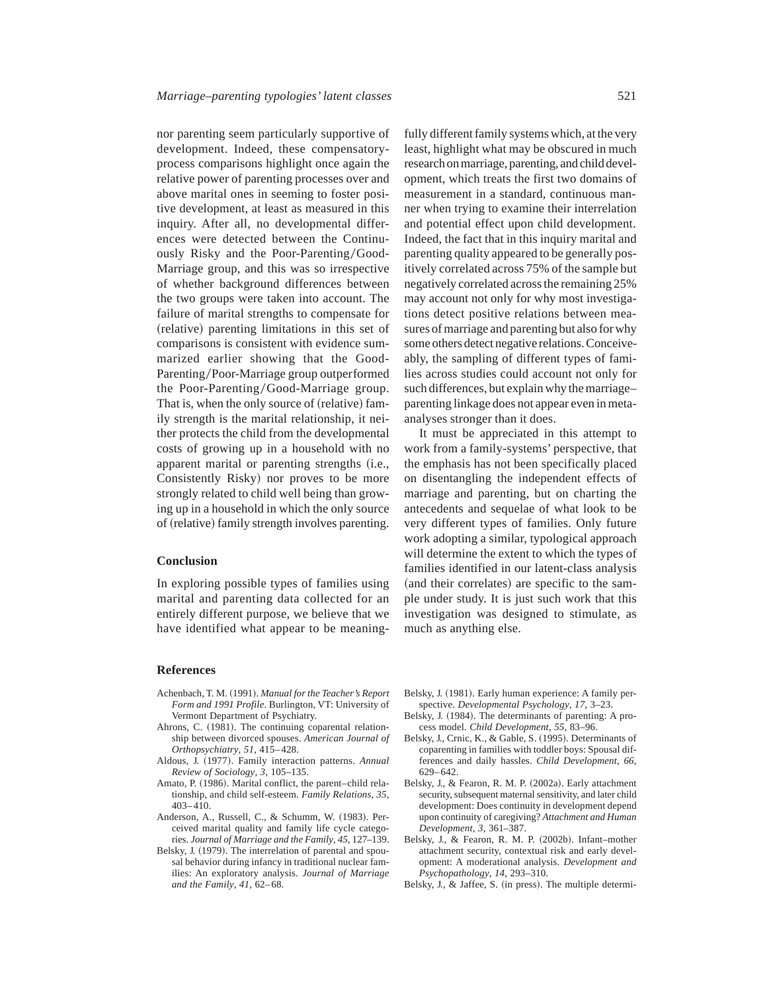nor parenting seem particularly supportive of development. Indeed, these compensatoryprocess comparisons highlight once again the relative power of parenting processes over and above marital ones in seeming to foster positive development, at least as measured in this inquiry. After all, no developmental differences were detected between the Continuously Risky and the Poor-Parenting/Good-Marriage group, and this was so irrespective of whether background differences between the two groups were taken into account. The failure of marital strengths to compensate for (relative) parenting limitations in this set of comparisons is consistent with evidence summarized earlier showing that the Good-Parenting/Poor-Marriage group outperformed the Poor-Parenting/Good-Marriage group. That is, when the only source of (relative) family strength is the marital relationship, it neither protects the child from the developmental costs of growing up in a household with no apparent marital or parenting strengths (i.e., Consistently Risky) nor proves to be more strongly related to child well being than growing up in a household in which the only source of (relative) family strength involves parenting.

# **Conclusion**

In exploring possible types of families using marital and parenting data collected for an entirely different purpose, we believe that we have identified what appear to be meaning-

fully different family systems which, at the very least, highlight what may be obscured in much research on marriage, parenting, and child development, which treats the first two domains of measurement in a standard, continuous manner when trying to examine their interrelation and potential effect upon child development. Indeed, the fact that in this inquiry marital and parenting quality appeared to be generally positively correlated across 75% of the sample but negatively correlated across the remaining 25% may account not only for why most investigations detect positive relations between measures of marriage and parenting but also for why some others detect negative relations. Conceiveably, the sampling of different types of families across studies could account not only for such differences, but explain why the marriage– parenting linkage does not appear even in metaanalyses stronger than it does.

It must be appreciated in this attempt to work from a family-systems' perspective, that the emphasis has not been specifically placed on disentangling the independent effects of marriage and parenting, but on charting the antecedents and sequelae of what look to be very different types of families. Only future work adopting a similar, typological approach will determine the extent to which the types of families identified in our latent-class analysis (and their correlates) are specific to the sample under study. It is just such work that this investigation was designed to stimulate, as much as anything else.

#### **References**

- Achenbach, T. M. (1991). *Manual for the Teacher's Report Form and 1991 Profile*. Burlington, VT: University of Vermont Department of Psychiatry.
- Ahrons, C. (1981). The continuing coparental relationship between divorced spouses. *American Journal of Orthopsychiatry*, *51*, 415–428.
- Aldous, J. (1977). Family interaction patterns. *Annual Review of Sociology*, *3*, 105–135.
- Amato, P. (1986). Marital conflict, the parent–child relationship, and child self-esteem. *Family Relations*, *35*, 403–410.
- Anderson, A., Russell, C., & Schumm, W. (1983). Perceived marital quality and family life cycle categories. *Journal of Marriage and the Family*, *45*, 127–139.
- Belsky, J. (1979). The interrelation of parental and spousal behavior during infancy in traditional nuclear families: An exploratory analysis. *Journal of Marriage and the Family*, *41*, 62–68.
- Belsky, J. (1981). Early human experience: A family perspective. *Developmental Psychology*, *17*, 3–23.
- Belsky, J. (1984). The determinants of parenting: A process model. *Child Development*, *55*, 83–96.
- Belsky, J., Crnic, K., & Gable, S. (1995). Determinants of coparenting in families with toddler boys: Spousal differences and daily hassles. *Child Development*, *66*, 629–642.
- Belsky, J., & Fearon, R. M. P. (2002a). Early attachment security, subsequent maternal sensitivity, and later child development: Does continuity in development depend upon continuity of caregiving? *Attachment and Human Development*, *3*, 361–387.
- Belsky, J., & Fearon, R. M. P. (2002b). Infant-mother attachment security, contextual risk and early development: A moderational analysis. *Development and Psychopathology*, *14*, 293–310.
- Belsky, J., & Jaffee, S. (in press). The multiple determi-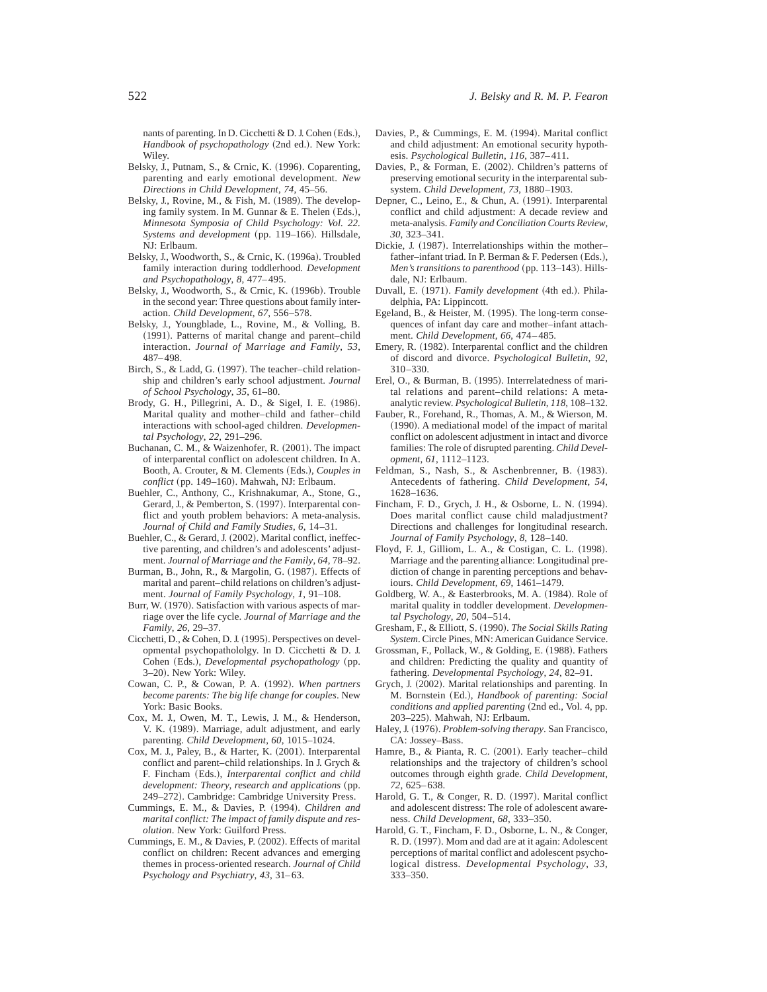nants of parenting. In D. Cicchetti & D. J. Cohen (Eds.), *Handbook of psychopathology* (2nd ed.). New York: Wiley.

- Belsky, J., Putnam, S., & Crnic, K. (1996). Coparenting, parenting and early emotional development. *New Directions in Child Development*, *74*, 45–56.
- Belsky, J., Rovine, M., & Fish, M. (1989). The developing family system. In M. Gunnar  $&$  E. Thelen (Eds.), *Minnesota Symposia of Child Psychology: Vol. 22.* Systems and development (pp. 119-166). Hillsdale, NJ: Erlbaum.
- Belsky, J., Woodworth, S., & Crnic, K. (1996a). Troubled family interaction during toddlerhood. *Development and Psychopathology*, *8*, 477– 495.
- Belsky, J., Woodworth, S., & Crnic, K. (1996b). Trouble in the second year: Three questions about family interaction. *Child Development*, *67*, 556–578.
- Belsky, J., Youngblade, L., Rovine, M., & Volling, B. (1991). Patterns of marital change and parent-child interaction. *Journal of Marriage and Family*, *53*, 487– 498.
- Birch, S., & Ladd, G. (1997). The teacher–child relationship and children's early school adjustment. *Journal of School Psychology*, *35*, 61–80.
- Brody, G. H., Pillegrini, A. D., & Sigel, I. E. (1986). Marital quality and mother–child and father–child interactions with school-aged children. *Developmental Psychology*, *22*, 291–296.
- Buchanan, C. M., & Waizenhofer, R. (2001). The impact of interparental conflict on adolescent children. In A. Booth, A. Crouter, & M. Clements (Eds.), *Couples in conflict* (pp. 149–160). Mahwah, NJ: Erlbaum.
- Buehler, C., Anthony, C., Krishnakumar, A., Stone, G., Gerard, J., & Pemberton, S. (1997). Interparental conflict and youth problem behaviors: A meta-analysis. *Journal of Child and Family Studies*, *6*, 14–31.
- Buehler, C., & Gerard, J. (2002). Marital conflict, ineffective parenting, and children's and adolescents' adjustment. *Journal of Marriage and the Family*, *64*, 78–92.
- Burman, B., John, R., & Margolin, G. (1987). Effects of marital and parent–child relations on children's adjustment. *Journal of Family Psychology*, *1*, 91–108.
- Burr, W. (1970). Satisfaction with various aspects of marriage over the life cycle. *Journal of Marriage and the Family*, *26*, 29–37.
- Cicchetti, D., & Cohen, D. J. (1995). Perspectives on developmental psychopathololgy. In D. Cicchetti & D. J. Cohen (Eds.), *Developmental psychopathology* (pp. 3-20). New York: Wiley.
- Cowan, C. P., & Cowan, P. A. ~1992!. *When partners become parents: The big life change for couples*. New York: Basic Books.
- Cox, M. J., Owen, M. T., Lewis, J. M., & Henderson, V. K. (1989). Marriage, adult adjustment, and early parenting. *Child Development*, *60*, 1015–1024.
- Cox, M. J., Paley, B., & Harter, K. (2001). Interparental conflict and parent–child relationships. In J. Grych & F. Fincham (Eds.), *Interparental conflict and child*  $development: Theory, research and applications (pp.$ 249–272). Cambridge: Cambridge University Press.
- Cummings, E. M., & Davies, P. (1994). *Children and marital conflict: The impact of family dispute and resolution*. New York: Guilford Press.
- Cummings, E. M., & Davies, P. (2002). Effects of marital conflict on children: Recent advances and emerging themes in process-oriented research. *Journal of Child Psychology and Psychiatry*, *43*, 31– 63.
- Davies, P., & Cummings, E. M. (1994). Marital conflict and child adjustment: An emotional security hypothesis. *Psychological Bulletin*, *116*, 387– 411.
- Davies, P., & Forman, E. (2002). Children's patterns of preserving emotional security in the interparental subsystem. *Child Development*, *73*, 1880–1903.
- Depner, C., Leino, E., & Chun, A. (1991). Interparental conflict and child adjustment: A decade review and meta-analysis. *Family and Conciliation Courts Review*, *30*, 323–341.
- Dickie, J. (1987). Interrelationships within the mother– father–infant triad. In P. Berman  $&$  F. Pedersen (Eds.), *Men's transitions to parenthood* (pp. 113-143). Hillsdale, NJ: Erlbaum.
- Duvall, E. (1971). *Family development* (4th ed.). Philadelphia, PA: Lippincott.
- Egeland, B., & Heister, M. (1995). The long-term consequences of infant day care and mother–infant attachment. *Child Development*, *66*, 474–485.
- Emery, R. (1982). Interparental conflict and the children of discord and divorce. *Psychological Bulletin*, *92*, 310–330.
- Erel, O., & Burman, B. (1995). Interrelatedness of marital relations and parent–child relations: A metaanalytic review. *Psychological Bulletin*, *118*, 108–132.
- Fauber, R., Forehand, R., Thomas, A. M., & Wierson, M. (1990). A mediational model of the impact of marital conflict on adolescent adjustment in intact and divorce families: The role of disrupted parenting. *Child Development*, *61*, 1112–1123.
- Feldman, S., Nash, S., & Aschenbrenner, B. (1983). Antecedents of fathering. *Child Development*, *54*, 1628–1636.
- Fincham, F. D., Grych, J. H., & Osborne, L. N. (1994). Does marital conflict cause child maladjustment? Directions and challenges for longitudinal research. *Journal of Family Psychology*, *8*, 128–140.
- Floyd, F. J., Gilliom, L. A., & Costigan, C. L. (1998). Marriage and the parenting alliance: Longitudinal prediction of change in parenting perceptions and behaviours. *Child Development*, *69*, 1461–1479.
- Goldberg, W. A., & Easterbrooks, M. A. (1984). Role of marital quality in toddler development. *Developmental Psychology*, *20*, 504–514.
- Gresham, F., & Elliott, S. ~1990!. *The Social Skills Rating System*. Circle Pines, MN: American Guidance Service.
- Grossman, F., Pollack, W., & Golding, E. (1988). Fathers and children: Predicting the quality and quantity of fathering. *Developmental Psychology*, *24*, 82–91.
- Grych, J. (2002). Marital relationships and parenting. In M. Bornstein ~Ed.!, *Handbook of parenting: Social*  $conditions$  and applied parenting (2nd ed., Vol. 4, pp. 203-225). Mahwah, NJ: Erlbaum.
- Haley, J. (1976). *Problem-solving therapy*. San Francisco, CA: Jossey–Bass.
- Hamre, B., & Pianta, R. C. (2001). Early teacher–child relationships and the trajectory of children's school outcomes through eighth grade. *Child Development*, *72*, 625–638.
- Harold, G. T., & Conger, R. D. (1997). Marital conflict and adolescent distress: The role of adolescent awareness. *Child Development*, *68*, 333–350.
- Harold, G. T., Fincham, F. D., Osborne, L. N., & Conger, R. D. (1997). Mom and dad are at it again: Adolescent perceptions of marital conflict and adolescent psychological distress. *Developmental Psychology*, *33*, 333–350.